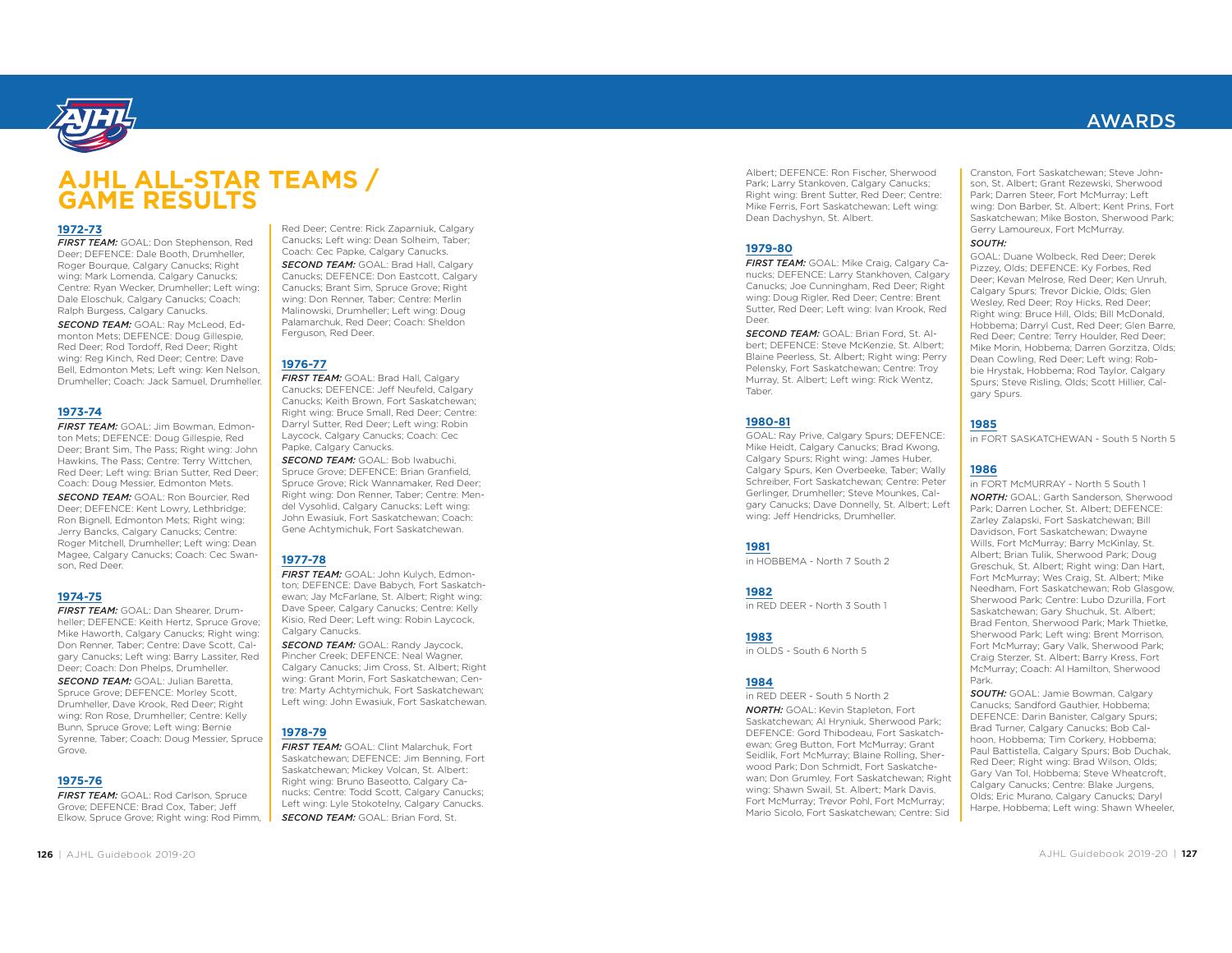

# **AJHL ALL-STAR TEAMS / GAME RESULTS**

#### **1972-73**

 *FIRST TEAM:* GOAL: Don Stephenson, Red Deer; DEFENCE: Dale Booth, Drumheller, Roger Bourque, Calgary Canucks; Right wing: Mark Lomenda, Calgary Canucks; Centre: Ryan Wecker, Drumheller; Left wing: Dale Eloschuk, Calgary Canucks; Coach: Ralph Burgess, Calgary Canucks.

*SECOND TEAM:* GOAL: Ray McLeod, Edmonton Mets; DEFENCE: Doug Gillespie, Red Deer; Rod Tordoff, Red Deer; Right wing: Reg Kinch, Red Deer; Centre: Dave Bell, Edmonton Mets; Left wing: Ken Nelson, Drumheller; Coach: Jack Samuel, Drumheller.

#### **1973-74**

*FIRST TEAM:* GOAL: Jim Bowman, Edmonton Mets; DEFENCE: Doug Gillespie, Red Deer; Brant Sim, The Pass; Right wing: John Hawkins, The Pass; Centre: Terry Wittchen, Red Deer; Left wing: Brian Sutter, Red Deer; Coach: Doug Messier, Edmonton Mets.

*SECOND TEAM:* GOAL: Ron Bourcier, Red Deer; DEFENCE: Kent Lowry, Lethbridge; Ron Bignell, Edmonton Mets; Right wing: Jerry Bancks, Calgary Canucks; Centre: Roger Mitchell, Drumheller; Left wing: Dean Magee, Calgary Canucks; Coach: Cec Swanson, Red Deer.

### **1974-75**

*FIRST TEAM:* GOAL: Dan Shearer, Drumheller: DEFENCE: Keith Hertz, Spruce Grove: Mike Haworth, Calgary Canucks; Right wing: Don Renner, Taber; Centre: Dave Scott, Calgary Canucks; Left wing: Barry Lassiter, Red Deer; Coach: Don Phelps, Drumheller.

*SECOND TEAM:* GOAL: Julian Baretta, Spruce Grove; DEFENCE: Morley Scott, Drumheller, Dave Krook, Red Deer; Right wing: Ron Rose, Drumheller; Centre: Kelly Bunn, Spruce Grove; Left wing: Bernie Syrenne, Taber; Coach: Doug Messier, Spruce Grove.

#### **1975-76**

**FIRST TEAM:** GOAL: Rod Carlson, Spruce Grove; DEFENCE: Brad Cox, Taber; Jeff Elkow, Spruce Grove; Right wing: Rod Pimm, Red Deer; Centre: Rick Zaparniuk, Calgary Canucks; Left wing: Dean Solheim, Taber; Coach: Cec Papke, Calgary Canucks.

*SECOND TEAM:* GOAL: Brad Hall, Calgary Canucks; DEFENCE: Don Eastcott, Calgary Canucks; Brant Sim, Spruce Grove; Right wing: Don Renner, Taber; Centre: Merlin Malinowski, Drumheller; Left wing: Doug Palamarchuk, Red Deer; Coach: Sheldon Ferguson, Red Deer.

#### **1976-77**

*FIRST TEAM:* GOAL: Brad Hall, Calgary Canucks; DEFENCE: Jeff Neufeld, Calgary Canucks; Keith Brown, Fort Saskatchewan; Right wing: Bruce Small, Red Deer; Centre: Darryl Sutter, Red Deer; Left wing: Robin Laycock, Calgary Canucks; Coach: Cec Papke, Calgary Canucks.

*SECOND TEAM:* GOAL: Bob Iwabuchi, Spruce Grove; DEFENCE: Brian Granfield, Spruce Grove; Rick Wannamaker, Red Deer; Right wing: Don Renner, Taber; Centre: Mendel Vysohlid, Calgary Canucks; Left wing: John Ewasiuk, Fort Saskatchewan; Coach: Gene Achtymichuk, Fort Saskatchewan.

### **1977-78**

 *FIRST TEAM:* GOAL: John Kulych, Edmonton; DEFENCE: Dave Babych, Fort Saskatchewan: Jay McFarlane, St. Albert: Right wing: Dave Speer, Calgary Canucks; Centre: Kelly Kisio, Red Deer; Left wing: Robin Laycock, Calgary Canucks.

**SECOND TEAM: GOAL: Randy Jaycock,** Pincher Creek; DEFENCE: Neal Wagner, Calgary Canucks; Jim Cross, St. Albert; Right wing: Grant Morin, Fort Saskatchewan; Centre: Marty Achtymichuk, Fort Saskatchewan; Left wing: John Ewasiuk, Fort Saskatchewan.

## **1978-79**

*FIRST TEAM:* GOAL: Clint Malarchuk, Fort Saskatchewan; DEFENCE: Jim Benning, Fort Saskatchewan; Mickey Volcan, St. Albert: Right wing: Bruno Baseotto, Calgary Canucks; Centre: Todd Scott, Calgary Canucks; Left wing: Lyle Stokotelny, Calgary Canucks. **SECOND TEAM: GOAL: Brian Ford, St.** 

Albert; DEFENCE: Ron Fischer, Sherwood Park; Larry Stankoven, Calgary Canucks; Right wing: Brent Sutter, Red Deer; Centre: Mike Ferris, Fort Saskatchewan; Left wing: Dean Dachyshyn, St. Albert.

#### **1979-80**

 *FIRST TEAM:* GOAL: Mike Craig, Calgary Canucks; DEFENCE: Larry Stankhoven, Calgary Canucks; Joe Cunningham, Red Deer; Right wing: Doug Rigler, Red Deer; Centre: Brent Sutter, Red Deer; Left wing: Ivan Krook, Red Deer.

*SECOND TEAM:* GOAL: Brian Ford, St. Albert; DEFENCE: Steve McKenzie, St. Albert; Blaine Peerless, St. Albert; Right wing: Perry Pelensky, Fort Saskatchewan; Centre: Troy Murray, St. Albert; Left wing: Rick Wentz, Taber.

### **1980-81**

GOAL: Ray Prive, Calgary Spurs; DEFENCE: Mike Heidt, Calgary Canucks; Brad Kwong, Calgary Spurs; Right wing: James Huber, Calgary Spurs, Ken Overbeeke, Taber; Wally Schreiber, Fort Saskatchewan; Centre: Peter Gerlinger, Drumheller; Steve Mounkes, Calgary Canucks; Dave Donnelly, St. Albert; Left wing: Jeff Hendricks, Drumheller.

#### **1981**

in HOBBEMA - North 7 South 2

### **1982**

in RED DEER - North 3 South 1

### **1983**

in OLDS - South 6 North 5

### **1984**

in RED DEER - South 5 North 2 *NORTH:* GOAL: Kevin Stapleton, Fort Saskatchewan; Al Hryniuk, Sherwood Park; DEFENCE: Gord Thibodeau, Fort Saskatchewan; Greg Button, Fort McMurray; Grant Seidlik, Fort McMurray; Blaine Rolling, Sherwood Park; Don Schmidt, Fort Saskatchewan; Don Grumley, Fort Saskatchewan; Right wing: Shawn Swail, St. Albert; Mark Davis, Fort McMurray; Trevor Pohl, Fort McMurray; Mario Sicolo, Fort Saskatchewan; Centre: Sid

Cranston, Fort Saskatchewan; Steve Johnson, St. Albert; Grant Rezewski, Sherwood Park; Darren Steer, Fort McMurray; Left wing: Don Barber, St. Albert; Kent Prins, Fort Saskatchewan; Mike Boston, Sherwood Park; Gerry Lamoureux, Fort McMurray. *SOUTH:*

GOAL: Duane Wolbeck, Red Deer; Derek Pizzey, Olds; DEFENCE: Ky Forbes, Red Deer; Kevan Melrose, Red Deer; Ken Unruh, Calgary Spurs; Trevor Dickie, Olds; Glen Wesley, Red Deer; Roy Hicks, Red Deer; Right wing: Bruce Hill, Olds; Bill McDonald, Hobbema; Darryl Cust, Red Deer; Glen Barre, Red Deer; Centre: Terry Houlder, Red Deer; Mike Morin, Hobbema; Darren Gorzitza, Olds; Dean Cowling, Red Deer; Left wing: Robbie Hrystak, Hobbema; Rod Taylor, Calgary Spurs; Steve Risling, Olds; Scott Hillier, Calgary Spurs.

### **1985**

in FORT SASKATCHEWAN - South 5 North 5

## **1986**

in FORT McMURRAY - North 5 South 1*NORTH:* GOAL: Garth Sanderson, Sherwood Park; Darren Locher, St. Albert; DEFENCE: Zarley Zalapski, Fort Saskatchewan; Bill Davidson, Fort Saskatchewan; Dwayne Wills, Fort McMurray; Barry McKinlay, St. Albert; Brian Tulik, Sherwood Park; Doug Greschuk, St. Albert; Right wing: Dan Hart, Fort McMurray; Wes Craig, St. Albert; Mike Needham, Fort Saskatchewan; Rob Glasgow, Sherwood Park; Centre: Lubo Dzurilla, Fort Saskatchewan; Gary Shuchuk, St. Albert; Brad Fenton, Sherwood Park; Mark Thietke, Sherwood Park; Left wing: Brent Morrison, Fort McMurray; Gary Valk, Sherwood Park; Craig Sterzer, St. Albert; Barry Kress, Fort McMurray; Coach: Al Hamilton, Sherwood Park.

*SOUTH:* GOAL: Jamie Bowman, Calgary Canucks; Sandford Gauthier, Hobbema; DEFENCE: Darin Banister, Calgary Spurs; Brad Turner, Calgary Canucks; Bob Calhoon, Hobbema; Tim Corkery, Hobbema; Paul Battistella, Calgary Spurs; Bob Duchak, Red Deer; Right wing: Brad Wilson, Olds; Gary Van Tol, Hobbema; Steve Wheatcroft, Calgary Canucks; Centre: Blake Jurgens, Olds; Eric Murano, Calgary Canucks; Daryl Harpe, Hobbema; Left wing: Shawn Wheeler,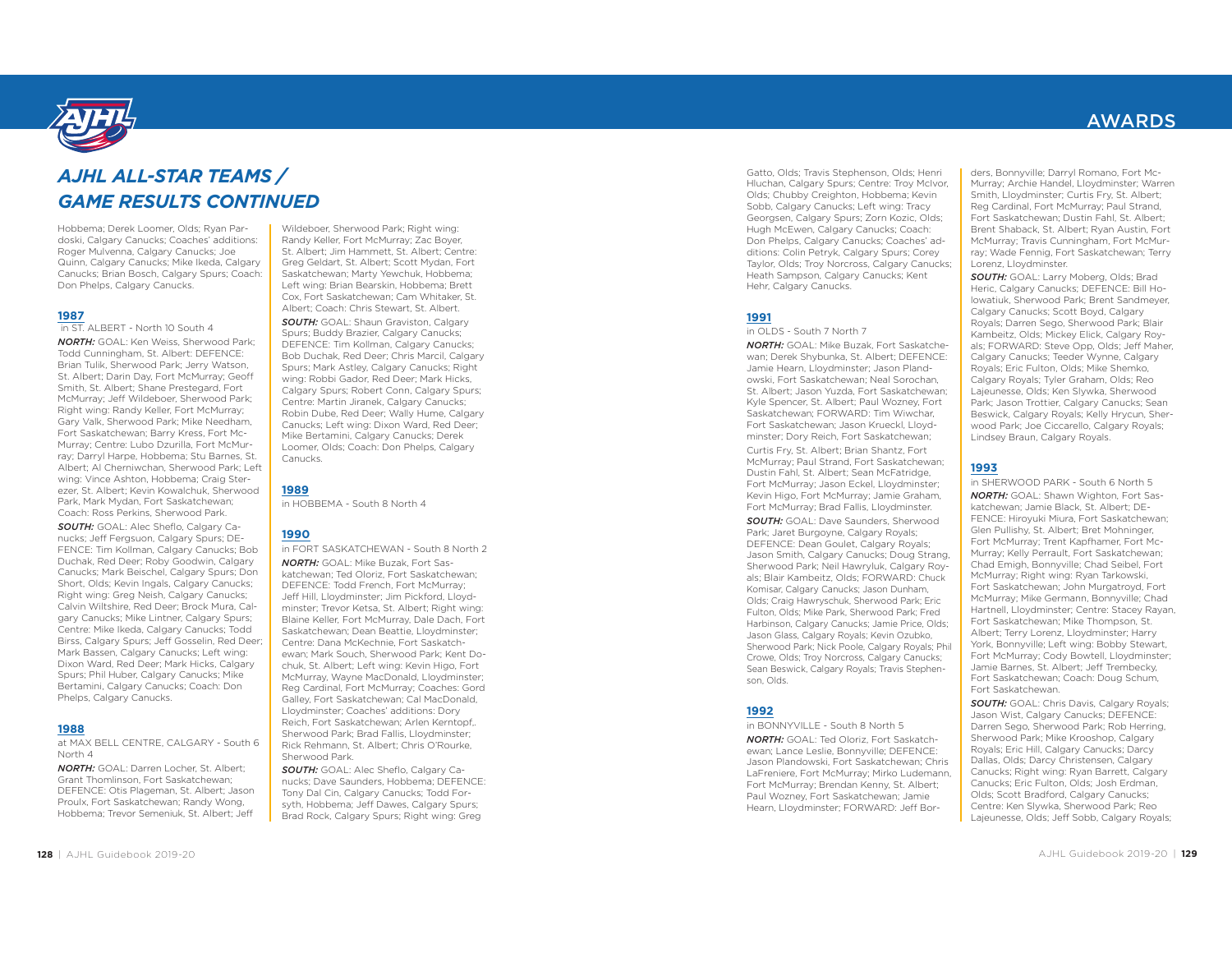

## *AJHL ALL-STAR TEAMS / GAME RESULTS CONTINUED*

Hobbema; Derek Loomer, Olds; Ryan Pardoski, Calgary Canucks; Coaches' additions: Roger Mulvenna, Calgary Canucks; Joe Quinn, Calgary Canucks; Mike Ikeda, Calgary Canucks; Brian Bosch, Calgary Spurs; Coach: Don Phelps, Calgary Canucks.

#### **1987**

in ST. ALBERT - North 10 South 4

*NORTH:* GOAL: Ken Weiss, Sherwood Park; Todd Cunningham, St. Albert: DEFENCE: Brian Tulik, Sherwood Park; Jerry Watson, St. Albert; Darin Day, Fort McMurray; Geoff Smith, St. Albert; Shane Prestegard, Fort McMurray; Jeff Wildeboer, Sherwood Park; Right wing: Randy Keller, Fort McMurray; Gary Valk, Sherwood Park; Mike Needham, Fort Saskatchewan; Barry Kress, Fort Mc-Murray; Centre: Lubo Dzurilla, Fort McMurray; Darryl Harpe, Hobbema; Stu Barnes, St. Albert; Al Cherniwchan, Sherwood Park; Left wing: Vince Ashton, Hobbema; Craig Sterezer, St. Albert; Kevin Kowalchuk, Sherwood Park, Mark Mydan, Fort Saskatchewan; Coach: Ross Perkins, Sherwood Park.

*SOUTH:* GOAL: Alec Sheflo, Calgary Canucks; Jeff Fergsuon, Calgary Spurs; DE-FENCE: Tim Kollman, Calgary Canucks; Bob Duchak, Red Deer; Roby Goodwin, Calgary Canucks; Mark Beischel, Calgary Spurs; Don Short, Olds; Kevin Ingals, Calgary Canucks; Right wing: Greg Neish, Calgary Canucks; Calvin Wiltshire, Red Deer; Brock Mura, Calgary Canucks; Mike Lintner, Calgary Spurs; Centre: Mike Ikeda, Calgary Canucks; Todd Birss, Calgary Spurs; Jeff Gosselin, Red Deer; Mark Bassen, Calgary Canucks; Left wing: Dixon Ward, Red Deer; Mark Hicks, Calgary Spurs; Phil Huber, Calgary Canucks; Mike Bertamini, Calgary Canucks; Coach: Don Phelps, Calgary Canucks.

#### **1988**

at MAX BELL CENTRE, CALGARY - South 6 North 4

*NORTH:* GOAL: Darren Locher, St. Albert; Grant Thomlinson, Fort Saskatchewan; DEFENCE: Otis Plageman, St. Albert; Jason Proulx, Fort Saskatchewan; Randy Wong, Hobbema; Trevor Semeniuk, St. Albert; Jeff

Wildeboer, Sherwood Park; Right wing: Randy Keller, Fort McMurray; Zac Boyer, St. Albert; Jim Hammett, St. Albert; Centre: Greg Geldart, St. Albert; Scott Mydan, Fort Saskatchewan; Marty Yewchuk, Hobbema; Left wing: Brian Bearskin, Hobbema; Brett Cox, Fort Saskatchewan; Cam Whitaker, St. Albert; Coach: Chris Stewart, St. Albert.

*SOUTH:* GOAL: Shaun Graviston, Calgary Spurs; Buddy Brazier, Calgary Canucks; DEFENCE: Tim Kollman, Calgary Canucks; Bob Duchak, Red Deer; Chris Marcil, Calgary Spurs; Mark Astley, Calgary Canucks; Right wing: Robbi Gador, Red Deer; Mark Hicks, Calgary Spurs; Robert Conn, Calgary Spurs; Centre: Martin Jiranek, Calgary Canucks; Robin Dube, Red Deer; Wally Hume, Calgary Canucks; Left wing: Dixon Ward, Red Deer; Mike Bertamini, Calgary Canucks; Derek Loomer, Olds; Coach: Don Phelps, Calgary Canucks.

in HOBBEMA - South 8 North 4

#### **1990**

**1989**

in FORT SASKATCHEWAN - South 8 North 2*NORTH:* GOAL: Mike Buzak, Fort Saskatchewan; Ted Oloriz, Fort Saskatchewan; DEFENCE: Todd French, Fort McMurray; Jeff Hill, Lloydminster; Jim Pickford, Lloydminster; Trevor Ketsa, St. Albert; Right wing: Blaine Keller, Fort McMurray, Dale Dach, Fort Saskatchewan; Dean Beattie, Lloydminster; Centre: Dana McKechnie, Fort Saskatchewan; Mark Souch, Sherwood Park; Kent Dochuk, St. Albert; Left wing: Kevin Higo, Fort McMurray, Wayne MacDonald, Lloydminster; Reg Cardinal, Fort McMurray; Coaches: Gord Galley, Fort Saskatchewan; Cal MacDonald, Lloydminster; Coaches' additions: Dory Reich, Fort Saskatchewan; Arlen Kerntopf,. Sherwood Park; Brad Fallis, Lloydminster; Rick Rehmann, St. Albert; Chris O'Rourke, Sherwood Park.

*SOUTH:* GOAL: Alec Sheflo, Calgary Canucks; Dave Saunders, Hobbema; DEFENCE: Tony Dal Cin, Calgary Canucks; Todd Forsyth, Hobbema; Jeff Dawes, Calgary Spurs; Brad Rock, Calgary Spurs; Right wing: Greg

Gatto, Olds; Travis Stephenson, Olds; Henri Hluchan, Calgary Spurs; Centre: Troy McIvor, Olds; Chubby Creighton, Hobbema; Kevin Sobb, Calgary Canucks; Left wing: Tracy Georgsen, Calgary Spurs; Zorn Kozic, Olds; Hugh McEwen, Calgary Canucks; Coach: Don Phelps, Calgary Canucks; Coaches' additions: Colin Petryk, Calgary Spurs; Corey Taylor, Olds; Troy Norcross, Calgary Canucks; Heath Sampson, Calgary Canucks; Kent Hehr, Calgary Canucks.

#### **1991**

in OLDS - South 7 North 7

*NORTH:* GOAL: Mike Buzak, Fort Saskatchewan; Derek Shybunka, St. Albert; DEFENCE: Jamie Hearn, Lloydminster; Jason Plandowski, Fort Saskatchewan; Neal Sorochan, St. Albert; Jason Yuzda, Fort Saskatchewan; Kyle Spencer, St. Albert; Paul Wozney, Fort Saskatchewan; FORWARD: Tim Wiwchar, Fort Saskatchewan; Jason Krueckl, Lloydminster; Dory Reich, Fort Saskatchewan;

Curtis Fry, St. Albert; Brian Shantz, Fort McMurray; Paul Strand, Fort Saskatchewan; Dustin Fahl, St. Albert; Sean McFatridge, Fort McMurray; Jason Eckel, Lloydminster; Kevin Higo, Fort McMurray; Jamie Graham, Fort McMurray; Brad Fallis, Lloydminster. *SOUTH:* GOAL: Dave Saunders, Sherwood Park; Jaret Burgoyne, Calgary Royals; DEFENCE: Dean Goulet, Calgary Royals; Jason Smith, Calgary Canucks; Doug Strang, Sherwood Park; Neil Hawryluk, Calgary Royals; Blair Kambeitz, Olds; FORWARD: Chuck Komisar, Calgary Canucks; Jason Dunham, Olds; Craig Hawryschuk, Sherwood Park; Eric Fulton, Olds; Mike Park, Sherwood Park; Fred Harbinson, Calgary Canucks; Jamie Price, Olds; Jason Glass, Calgary Royals; Kevin Ozubko, Sherwood Park; Nick Poole, Calgary Royals; Phil Crowe, Olds; Troy Norcross, Calgary Canucks; Sean Beswick, Calgary Royals; Travis Stephenson, Olds.

#### **1992**

in BONNYVILLE - South 8 North 5

*NORTH:* GOAL: Ted Oloriz, Fort Saskatchewan; Lance Leslie, Bonnyville; DEFENCE: Jason Plandowski, Fort Saskatchewan; Chris LaFreniere, Fort McMurray; Mirko Ludemann, Fort McMurray; Brendan Kenny, St. Albert; Paul Wozney, Fort Saskatchewan; Jamie Hearn, Lloydminster; FORWARD: Jeff Bor-

# ders, Bonnyville; Darryl Romano, Fort Mc- Murray; Archie Handel, Lloydminster; Warren<br>Smith, Lloydminster; Curtis Fry, St. Albert;<br>Reg Cardinal, Fort McMurray; Paul Strand,<br>Fort Saskatchewan; Dustin Fahl, St. Albert;<br>Fort Shaback, St. Albert; Ryan Austin, Fort<br>McM ray; Wade Fennig, Fort Saskatchewan; Terry Lorenz, Lloydminster.

*SOUTH:* GOAL: Larry Moberg, Olds; Brad Heric, Calgary Canucks; DEFENCE: Bill Ho- Calgary Canucks; Scott Boyd, Calgary<br>Royals; Darren Sego, Sherwood Park; Blair<br>Kambeitz, Olds; Mickey Elick, Calgary Royals; FORWARD: Steve Opp, Olds; Jeff Maher,<br>Calgary Canucks; Teeder Wynne, Calgary<br>Royals; Eric Fulton, Olds; Mike Shemko,<br>Calgary Royals; Tyler Graham, Olds; Reo<br>Lajeunesse, Olds; Ken Slywka, Sherwood<br>Park; Jason Trottier, Lindsey Braun, Calgary Royals.

## **1993**

in SHERWOOD PARK - South 6 North 5*NORTH:* GOAL: Shawn Wighton, Fort Sas katchewan; Jamie Black, St. Albert; DE- Glen Pullishy, St. Albert; Bret Mohninger,<br>Fort McMurray; Trent Kapfhamer, Fort Mc-<br>Murray; Kelly Perrault, Fort Saskatchewan; Murray; Kelly Perrault, Fort Saskatchewan;<br>Chad Emigh, Bonnyville; Chad Seibel, Fort<br>McMurray; Right wing: Ryan Tarkowski,<br>Fort Saskatchewan; John Murgatroyd, Fort<br>McMurray; Mike German, Bonnyville; Chad<br>Hartnell, Lloydmin

**SOUTH:** GOAL: Chris Davis, Calgary Royals;<br>Jason Wist, Calgary Canucks; DEFENCE:<br>Darem Sego, Sherwood Park; Rob Herring,<br>Sherwood Park; Mike Krooshop, Calgary<br>Royals; Eric Hill, Calgary Canucks; Darcy<br>Dallas, Olds; Darcy Lajeunesse, Olds; Jeff Sobb, Calgary Royals;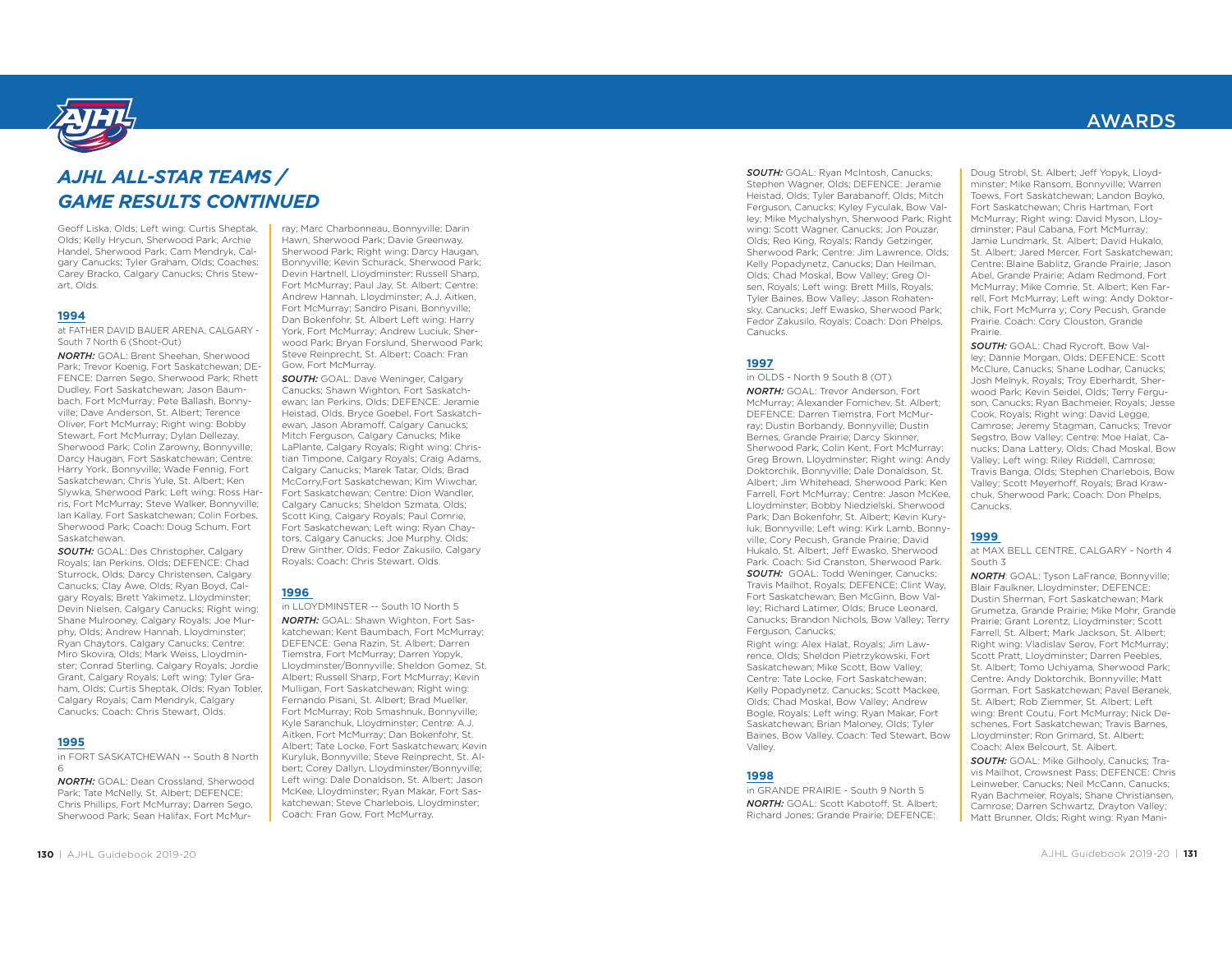

# *AJHL ALL-STAR TEAMS / GAME RESULTS CONTINUED*

Geoff Liska, Olds; Left wing: Curtis Sheptak, Olds; Kelly Hrycun, Sherwood Park; Archie Handel, Sherwood Park; Cam Mendryk, Cal-<br>Handel, Sherwood Park; Cam Mendryk, Cal-Handel, Sherwood Park; Cal-Carey Bracko, Calgary Canucks; Chris Stewart, Olds.

#### **1994**

at FATHER DAVID BAUER ARENA, CALGARY - South 7 North 6 (Shoot-Out)

*NORTH:* GOAL: Brent Sheehan, Sherwood Park; Trevor Koenig, Fort Saskatchewan; DE- Dudley. Fort Saskatchewan: Jason Baumbach, Fort McMurray; Pete Ballash, Bonny-<br>ville; Dave Anderson, St. Albert; Terence Oliver, Fort McMurray; Right wing: Bobby<br>Stewart, Fort McMurray; Dylan Dellezay,<br>Sherwood Park; Colin Zarowny, Bonnyville;<br>Darcy Haugan, Fort Saskatchewan; Centre:<br>Harry York, Bonnyville; Wade Fennig, Fort<br>Saskatchewan; Ch ris, Fort McMurray; Steve Walker, Bonnyville; Ian Kallay, Fort Saskatchewan; Colin Forbes, Sherwood Park; Coach: Doug Schum, Fort<br>Sherwood Park; Coach: Doug Schum, Fort<br>Saskatchewan

*SOUTH:* GOAL: Des Christopher, Calgary Royals; Ian Perkins, Olds; DEFENCE: Chad Sturrock, Olds; Darcy Christensen, Calgary Canucks; Clay Awe, Olds; Ryan Boyd, Cal-<br>canucks; Clay Awe, Olds; Ryan Boyd, Cal-<br>arav Rovals: Bre Devin Nielsen, Calgary Canucks; Right wing:<br>Shane Mulrooney, Calgary Royals; Joe Murphy, Olds; Andrew Hannah, Lloydminster; Ryan Chaytors, Calgary Canucks; Centre: Miro Skovira, Olds; Mark Weiss, Lloydmin ster; Conrad Sterling, Calgary Royals; Jordie Grant, Calgary Royals; Left wing: Tyler Gra ham, Olds; Curtis Sheptak, Olds; Ryan Tobler, Calgary Royals; Cam Mendryk, Calgary Canucks; Coach: Chris Stewart, Olds.

#### **1995**

in FORT SASKATCHEWAN -- South 8 North 6

*NORTH:* GOAL: Dean Crossland, Sherwood Park; Tate McNelly, St. Albert; DEFENCE: Chris Phillips, Fort McMurray; Darren Sego, Sherwood Park; Sean Halifax, Fort McMurray; Marc Charbonneau, Bonnyville; Darin<br>Hawn, Sherwood Park; Davie Greenway,<br>Sherwood Park; Right wing: Darcy Haugan,<br>Bonnyville; Kevin Schurack, Sherwood Park;<br>Devin Hartnell, Lloydminster; Russell Sharp,<br>Fort McMurray; wood Park; Bryan Forslund, Sherwood Park; Steve Reinprecht, St. Albert; Coach: Fran Gow, Fort McMurray.

*SOUTH:* GOAL: Dave Weninger, Calgary<br>Canucks: Shawn Wighton, Fort Saskatchewan; Ian Perkins, Olds; DEFENCE: Jeramie Heistad, Olds, Bryce Goebel, Fort Saskatch ewan, Jason Abramoff, Calgary Canucks; Mitch Ferguson, Calgary Canucks; Mike LaPlante, Calgary Royals; Right wing: Chris tian Timpone, Calgary Royals; Craig Adams,<br>Calgary Canucks; Marek Tatar, Olds; Brad<br>McCorry,Fort Saskatchewan; Kim Wiwchar,<br>Fort Saskatchewan; Centre: Dion Wandler,<br>Calgary Canucks; Sheldon Szmata, Olds;<br>Scott King, Calgar tors, Calgary Canucks; Joe Murphy, Olds; Drew Ginther, Olds; Fedor Zakusilo, Calgary Royals; Coach: Chris Stewart, Olds.

## **1996**

in LLOYDMINSTER -- South 10 North 5

*NORTH:* GOAL: Shawn Wighton, Fort Sas katchewan; Kent Baumbach, Fort McMurray;<br>DEFENCE: Gena Razin, St. Albert; Darren<br>Tiemstra, Fort McMurray; Darren Yopyk,<br>Lloydminster/Bonnyville; Sheldon Gomez, St.<br>Albert; Russell Sharp, Fort McMurray; Kevin<br>Mulligan, Fort bert; Corey Dallyn, Lloydminster/Bonnyville; Left wing: Dale Donaldson, St. Albert; Jason McKee, Lloydminster; Ryan Makar, Fort Sas katchewan; Steve Charlebois, Lloydminster; Coach: Fran Gow, Fort McMurray.

*SOUTH:* GOAL: Ryan McIntosh, Canucks; Stephen Wagner, Olds; DEFENCE: Jeramie Heistad, Olds; Tyler Barabanoff, Olds; Mitch Ferguson, Canucks; Kyley Fyculak, Bow Valley; Mike Mychalyshyn, Sherwood Park; Right wing: Scott Wagner, Canucks; Jon Pouzar, Olds; Reo King, Royals; Randy Getzinger, Sherwood Park; Centre: Jim Lawrence, Olds; Kelly Popadynetz, Canucks; Dan Heilman, Olds; Chad Moskal, Bow Valley; Greg Olsen, Royals; Left wing: Brett Mills, Royals; Tyler Baines, Bow Valley; Jason Rohatensky, Canucks; Jeff Ewasko, Sherwood Park; Fedor Zakusilo, Royals; Coach: Don Phelps, Canucks.

### **1997**

in OLDS - North 9 South 8 (OT) *NORTH:* GOAL: Trevor Anderson, Fort McMurray; Alexander Fomichev, St. Albert; DEFENCE: Darren Tiemstra, Fort McMurray; Dustin Borbandy, Bonnyville; Dustin Bernes, Grande Prairie; Darcy Skinner, Sherwood Park; Colin Kent, Fort McMurray; Greg Brown, Lloydminster; Right wing: Andy Doktorchik, Bonnyville; Dale Donaldson, St. Albert; Jim Whitehead, Sherwood Park; Ken Farrell, Fort McMurray; Centre: Jason McKee, Lloydminster; Bobby Niedzielski, Sherwood Park; Dan Bokenfohr, St. Albert; Kevin Kuryluk, Bonnyville; Left wing: Kirk Lamb, Bonnyville; Cory Pecush, Grande Prairie; David Hukalo, St. Albert; Jeff Ewasko, Sherwood Park. Coach: Sid Cranston, Sherwood Park. **SOUTH:** GOAL: Todd Weninger, Canucks; Travis Mailhot, Royals; DEFENCE: Clint Way, Fort Saskatchewan; Ben McGinn, Bow Valley; Richard Latimer, Olds; Bruce Leonard, Canucks; Brandon Nichols, Bow Valley; Terry Ferguson, Canucks;

Right wing: Alex Halat, Royals; Jim Lawrence, Olds; Sheldon Pietrzykowski, Fort Saskatchewan; Mike Scott, Bow Valley; Centre: Tate Locke, Fort Saskatchewan; Kelly Popadynetz, Canucks; Scott Mackee, Olds; Chad Moskal, Bow Valley; Andrew Bogle, Royals; Left wing: Ryan Makar, Fort Saskatchewan; Brian Maloney, Olds; Tyler Baines, Bow Valley. Coach: Ted Stewart, Bow Valley.

#### **1998**

in GRANDE PRAIRIE - South 9 North 5*NORTH:* GOAL: Scott Kabotoff, St. Albert; Richard Jones; Grande Prairie; DEFENCE:

## AWARDS

Doug Strobl, St. Albert; Jeff Yopyk, Lloydminster; Mike Ransom, Bonnyville; Warren Toews, Fort Saskatchewan; Landon Boyko, Fort Saskatchewan; Chris Hartman, Fort McMurray; Right wing: David Myson, Lloydminster; Paul Cabana, Fort McMurray; Jamie Lundmark, St. Albert; David Hukalo, St. Albert: Jared Mercer, Fort Saskatchewan; Centre: Blaine Bablitz, Grande Prairie; Jason Abel, Grande Prairie; Adam Redmond, Fort McMurray; Mike Comrie, St. Albert; Ken Farrell, Fort McMurray; Left wing: Andy Doktorchik, Fort McMurra y; Cory Pecush, Grande Prairie. Coach: Cory Clouston, Grande Prairie.

*SOUTH:* GOAL: Chad Rycroft, Bow Valley; Dannie Morgan, Olds; DEFENCE: Scott McClure, Canucks; Shane Lodhar, Canucks; Josh Melnyk, Royals; Troy Eberhardt, Sherwood Park; Kevin Seidel, Olds; Terry Ferguson, Canucks; Ryan Bachmeier, Royals; Jesse Cook, Royals; Right wing: David Legge, Camrose; Jeremy Stagman, Canucks; Trevor Segstro, Bow Valley; Centre: Moe Halat, Canucks; Dana Lattery, Olds; Chad Moskal, Bow Valley; Left wing: Riley Riddell, Camrose; Travis Banga, Olds; Stephen Charlebois, Bow Valley; Scott Meyerhoff, Royals; Brad Krawchuk, Sherwood Park; Coach: Don Phelps, Canucks.

### **1999**

at MAX BELL CENTRE, CALGARY - North 4 South 3

*NORTH*: GOAL: Tyson LaFrance, Bonnyville; Blair Faulkner, Lloydminster; DEFENCE: Dustin Sherman, Fort Saskatchewan; Mark Grumetza, Grande Prairie; Mike Mohr, Grande Prairie; Grant Lorentz, Lloydminster; Scott Farrell, St. Albert; Mark Jackson, St. Albert; Right wing: Vladislav Serov, Fort McMurray; Scott Pratt, Lloydminster; Darren Peebles, St. Albert; Tomo Uchiyama, Sherwood Park; Centre: Andy Doktorchik, Bonnyville; Matt Gorman, Fort Saskatchewan; Pavel Beranek, St. Albert; Rob Ziemmer, St. Albert; Left wing: Brent Coutu, Fort McMurray; Nick Deschenes, Fort Saskatchewan; Travis Barnes, Lloydminster; Ron Grimard, St. Albert; Coach: Alex Belcourt, St. Albert.

*SOUTH:* GOAL: Mike Gilhooly, Canucks; Travis Mailhot, Crowsnest Pass; DEFENCE: Chris Leinweber, Canucks; Neil McCann, Canucks; Ryan Bachmeier, Royals; Shane Christiansen, Camrose; Darren Schwartz, Drayton Valley; Matt Brunner, Olds; Right wing: Ryan Mani-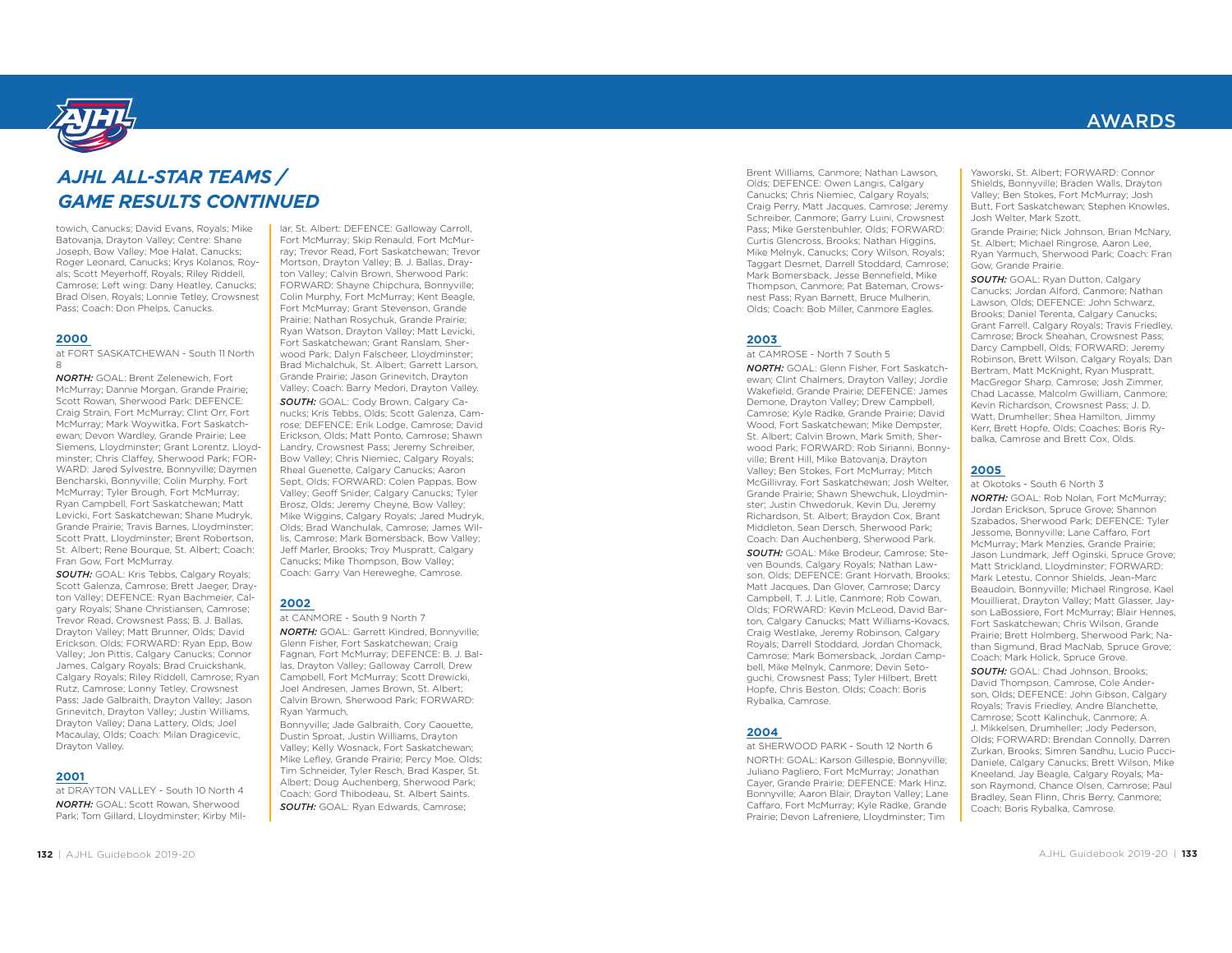

## *AJHL ALL-STAR TEAMS / GAME RESULTS CONTINUED*

towich, Canucks; David Evans, Royals; Mike Batovanja, Drayton Valley; Centre: Shane Joseph, Bow Valley; Moe Halat, Canucks; Roger Leonard, Canucks; Krys Kolanos, Royals; Scott Meyerhoff, Royals; Riley Riddell, Camrose; Left wing: Dany Heatley, Canucks; Brad Olsen, Royals; Lonnie Tetley, Crowsnest Pass; Coach: Don Phelps, Canucks.

### **2000**

at FORT SASKATCHEWAN - South 11 North

*NORTH:* GOAL: Brent Zelenewich, Fort McMurray; Dannie Morgan, Grande Prairie; Scott Rowan, Sherwood Park: DEFENCE: Craig Strain, Fort McMurray; Clint Orr, Fort McMurray; Mark Woywitka, Fort Saskatchewan; Devon Wardley, Grande Prairie; Lee Siemens, Lloydminster; Grant Lorentz, Lloydminster; Chris Claffey, Sherwood Park; FOR-WARD: Jared Sylvestre, Bonnyville; Daymen Bencharski, Bonnyville; Colin Murphy, Fort McMurray; Tyler Brough, Fort McMurray; Ryan Campbell, Fort Saskatchewan; Matt Levicki, Fort Saskatchewan; Shane Mudryk, Grande Prairie; Travis Barnes, Lloydminster; Scott Pratt, Lloydminster; Brent Robertson, St. Albert; Rene Bourque, St. Albert; Coach: Fran Gow, Fort McMurray.

**SOUTH:** GOAL: Kris Tebbs, Calgary Royals; Scott Galenza, Camrose; Brett Jaeger, Drayton Valley; DEFENCE: Ryan Bachmeier, Calgary Royals; Shane Christiansen, Camrose; Trevor Read, Crowsnest Pass; B. J. Ballas, Drayton Valley; Matt Brunner, Olds; David Erickson, Olds; FORWARD: Ryan Epp, Bow Valley; Jon Pittis, Calgary Canucks; Connor James, Calgary Royals; Brad Cruickshank, Calgary Royals; Riley Riddell, Camrose; Ryan Rutz, Camrose; Lonny Tetley, Crowsnest Pass; Jade Galbraith, Drayton Valley; Jason Grinevitch, Drayton Valley; Justin Williams, Drayton Valley; Dana Lattery, Olds; Joel Macaulay, Olds; Coach: Milan Dragicevic, Drayton Valley.

### **2001**

at DRAYTON VALLEY - South 10 North 4*NORTH:* GOAL: Scott Rowan, Sherwood Park; Tom Gillard, Lloydminster; Kirby Millar, St. Albert: DEFENCE: Galloway Carroll, Fort McMurray; Skip Renauld, Fort McMur- Mortson, Drayton Valley; B. J. Ballas, Dray-<br>ton Valley: Calvin Brown, Sherwood Park: FORWARD: Shayne Chipchura, Bonnyville;<br>Colin Murphy, Fort McMurray; Kent Beagle,<br>Fort McMurray; Grant Stevenson, Grande<br>Prairie; Nathan Rosychuk, Grande Prairie;<br>Ryan Watson, Drayton Valley; Matt Levicki,<br>Fort Saskatchewan

Brad Michalchuk, St. Albert; Garrett Larson,<br>Grande Prairie; Jason Grinevitch, Drayton<br>Valley; Coach: Barry Medori, Drayton Valley. *SOUTH:* GOAL: Cody Brown, Calgary Ca nucks; Kris Tebbs, Olds; Scott Galenza, Cam rose; DEFENCE: Erik Lodge, Camrose; David<br>Erickson, Olds; Matt Ponto, Camrose; Shawn<br>Landry, Crowsnest Pass; Jeremy Schreiber,<br>Bow Valley; Chris Niemiec, Calgary Royals;<br>Rheal Guenette, Calgary Canucks; Aaron<br>Sept, Olds; F lis, Camrose; Mark Bomersback, Bow Valley; Jeff Marler, Brooks; Troy Muspratt, Calgary<br>Canucks; Mike Thompson, Bow Valley;<br>Coach: Garry Van Hereweghe, Camrose.

#### **2002**

at CANMORE - South 9 North 7*NORTH:* GOAL: Garrett Kindred, Bonnyville;<br>Glenn Fisher, Fort Saskatchewan; Craig<br>Fagnan, Fort McMurray: DEFENCE: B. J. Bal-

las, Drayton Valley; Galloway Carroll, Drew<br>Campbell, Fort McMurray; Scott Drewicki,<br>Joel Andresen, James Brown, St. Albert;<br>Calvin Brown, Sherwood Park; FORWARD:<br>Ryan Yarmuch,<br>Bonnyville; Jade Galbraith, Cory Caouette,<br>Du *SOUTH:* GOAL: Ryan Edwards, Camrose;

Brent Williams, Canmore; Nathan Lawson, Olds; DEFENCE: Owen Langis, Calgary Canucks; Chris Niemiec, Calgary Royals; Craig Perry, Matt Jacques, Camrose; Jeremy Schreiber, Canmore; Garry Luini, Crowsnest Pass; Mike Gerstenbuhler, Olds; FORWARD: Curtis Glencross, Brooks; Nathan Higgins, Mike Melnyk, Canucks; Cory Wilson, Royals; Taggart Desmet, Darrell Stoddard, Camrose; Mark Bomersback, Jesse Bennefield, Mike Thompson, Canmore; Pat Bateman, Crowsnest Pass; Ryan Barnett, Bruce Mulherin, Olds; Coach: Bob Miller, Canmore Eagles.

#### **2003**

at CAMROSE - North 7 South 5*NORTH:* GOAL: Glenn Fisher, Fort Saskatchewan; Clint Chalmers, Drayton Valley; Jordie Wakefield, Grande Prairie; DEFENCE: James Demone, Drayton Valley; Drew Campbell, Camrose; Kyle Radke, Grande Prairie; David Wood, Fort Saskatchewan; Mike Dempster, St. Albert: Calvin Brown, Mark Smith, Sherwood Park; FORWARD: Rob Sirianni, Bonnyville; Brent Hill, Mike Batovanja, Drayton Valley; Ben Stokes, Fort McMurray; Mitch McGillivray, Fort Saskatchewan; Josh Welter, Grande Prairie; Shawn Shewchuk, Lloydminster; Justin Chwedoruk, Kevin Du, Jeremy Richardson, St. Albert; Braydon Cox, Brant Middleton, Sean Dersch, Sherwood Park; Coach: Dan Auchenberg, Sherwood Park.

*SOUTH:* GOAL: Mike Brodeur, Camrose; Steven Bounds, Calgary Royals; Nathan Lawson, Olds; DEFENCE: Grant Horvath, Brooks; Matt Jacques, Dan Glover, Camrose; Darcy Campbell, T. J. Litle, Canmore; Rob Cowan, Olds; FORWARD: Kevin McLeod, David Barton, Calgary Canucks; Matt Williams-Kovacs, Craig Westlake, Jeremy Robinson, Calgary Royals; Darrell Stoddard, Jordan Chomack, Camrose; Mark Bomersback, Jordan Campbell, Mike Melnyk, Canmore; Devin Setoguchi, Crowsnest Pass; Tyler Hilbert, Brett Hopfe, Chris Beston, Olds; Coach: Boris Rybalka, Camrose.

#### **2004**

at SHERWOOD PARK - South 12 North 6NORTH: GOAL: Karson Gillespie, Bonnyville; Juliano Pagliero, Fort McMurray; Jonathan Cayer, Grande Prairie; DEFENCE: Mark Hinz, Bonnyville; Aaron Blair, Drayton Valley; Lane Caffaro, Fort McMurray; Kyle Radke, Grande Prairie; Devon Lafreniere, Lloydminster; Tim

Yaworski, St. Albert; FORWARD: Connor Shields, Bonnyville; Braden Walls, Drayton Valley; Ben Stokes, Fort McMurray; Josh Butt, Fort Saskatchewan; Stephen Knowles, Josh Welter, Mark Szott,

Grande Prairie; Nick Johnson, Brian McNary, St. Albert: Michael Ringrose, Aaron Lee, Ryan Yarmuch, Sherwood Park; Coach: Fran Gow, Grande Prairie.

*SOUTH:* GOAL: Ryan Dutton, Calgary Canucks; Jordan Alford, Canmore; Nathan Lawson, Olds; DEFENCE: John Schwarz, Brooks; Daniel Terenta, Calgary Canucks; Grant Farrell, Calgary Royals; Travis Friedley, Camrose; Brock Sheahan, Crowsnest Pass; Darcy Campbell, Olds; FORWARD: Jeremy Robinson, Brett Wilson, Calgary Royals; Dan Bertram, Matt McKnight, Ryan Muspratt, MacGregor Sharp, Camrose; Josh Zimmer, Chad Lacasse, Malcolm Gwilliam, Canmore; Kevin Richardson, Crowsnest Pass; J. D. Watt, Drumheller; Shea Hamilton, Jimmy Kerr, Brett Hopfe, Olds; Coaches: Boris Rybalka, Camrose and Brett Cox, Olds.

### **2005**

at Okotoks - South 6 North 3

*NORTH:* GOAL: Rob Nolan, Fort McMurray; Jordan Erickson, Spruce Grove; Shannon Szabados, Sherwood Park; DEFENCE: Tyler Jessome, Bonnyville; Lane Caffaro, Fort McMurray; Mark Menzies, Grande Prairie; Jason Lundmark, Jeff Oginski, Spruce Grove; Matt Strickland, Lloydminster; FORWARD: Mark Letestu, Connor Shields, Jean-Marc Beaudoin, Bonnyville; Michael Ringrose, Kael Mouillierat, Drayton Valley; Matt Glasser, Jayson LaBossiere, Fort McMurray; Blair Hennes, Fort Saskatchewan; Chris Wilson, Grande Prairie; Brett Holmberg, Sherwood Park; Nathan Sigmund, Brad MacNab, Spruce Grove; Coach: Mark Holick, Spruce Grove. *SOUTH:* GOAL: Chad Johnson, Brooks; David Thompson, Camrose, Cole Anderson, Olds; DEFENCE: John Gibson, Calgary Royals; Travis Friedley, Andre Blanchette, Camrose; Scott Kalinchuk, Canmore; A. J. Mikkelsen, Drumheller; Jody Pederson, Olds; FORWARD: Brendan Connolly, Darren Zurkan, Brooks; Simren Sandhu, Lucio Pucci-Daniele, Calgary Canucks; Brett Wilson, Mike Kneeland, Jay Beagle, Calgary Royals; Mason Raymond, Chance Olsen, Camrose; Paul Bradley, Sean Flinn, Chris Berry, Canmore; Coach: Boris Rybalka, Camrose.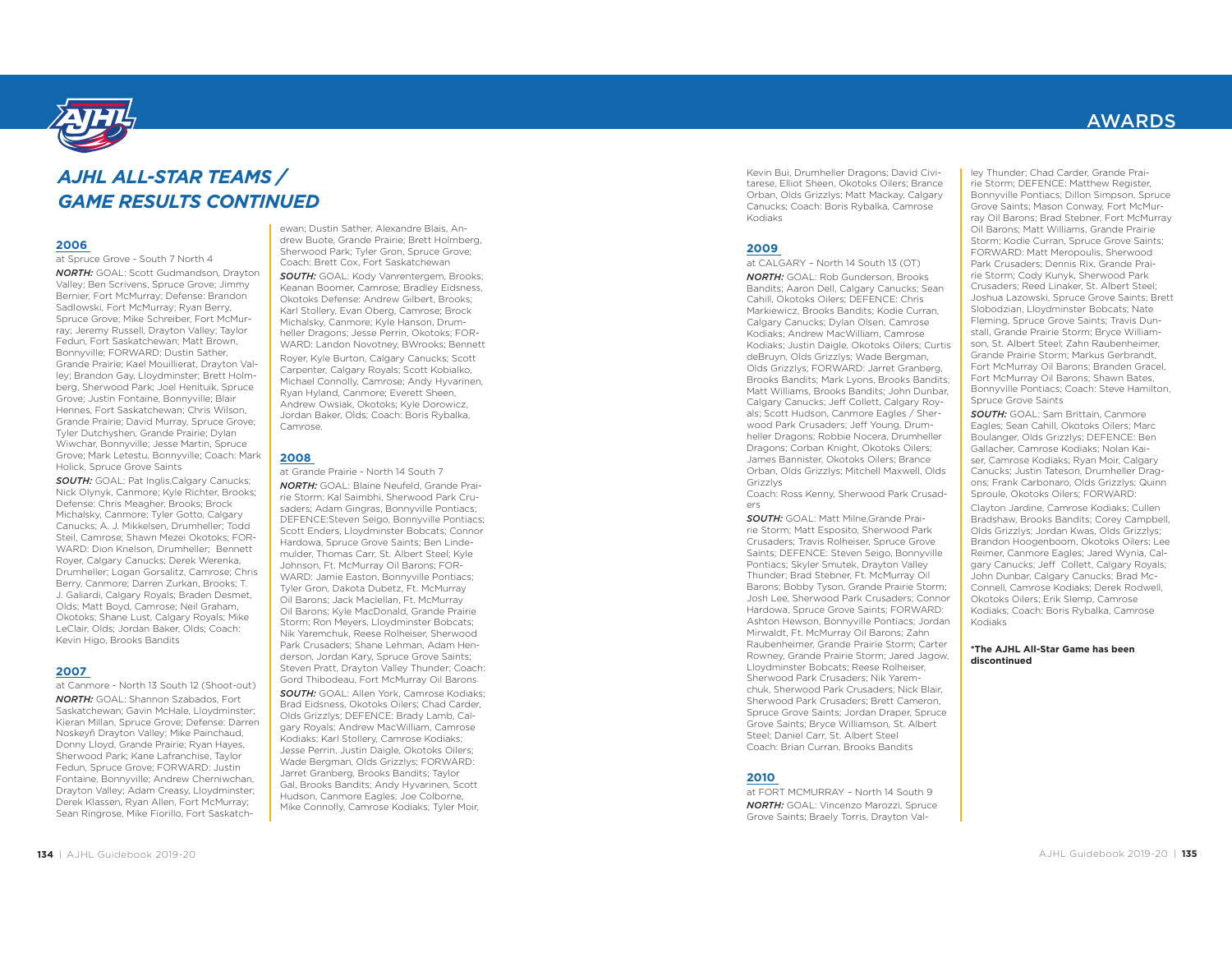

#### **2007**

at Canmore - North 13 South 12 (Shoot-out)

*NORTH:* GOAL: Shannon Szabados, Fort Saskatchewan; Gavin McHale, Lloydminster; Kieran Millan, Spruce Grove; Defense: Darren Noskeyñ Drayton Valley; Mike Painchaud, Donny Lloyd, Grande Prairie; Ryan Hayes, Sherwood Park; Kane Lafranchise, Taylor Fedun, Spruce Grove; FORWARD: Justin Fontaine, Bonnyville; Andrew Cherniwchan, Drayton Valley; Adam Creasy, Lloydminster; Derek Klassen, Ryan Allen, Fort McMurray; Sean Ringrose, Mike Fiorillo, Fort Saskatch- ewan; Dustin Sather, Alexandre Blais, An- drew Buote, Grande Prairie; Brett Holmberg, Sherwood Park; Tyler Gron, Spruce Grove; Coach: Brett Cox, Fort Saskatchewan *SOUTH:* GOAL: Kody Vanrentergem, Brooks; Keanan Boomer, Camrose; Bradley Eidsness, Okotoks Defense: Andrew Gilbert, Brooks; Karl Stollery, Evan Oberg, Camrose; Brock Michalsky, Canmore; Kyle Hanson, Drum- heller Dragons; Jesse Perrin, Okotoks; FOR- WARD: Landon Novotney, BWrooks; Bennett Royer, Kyle Burton, Calgary Canucks; Scott Carpenter, Calgary Royals; Scott Kobialko, Michael Connolly, Camrose; Andy Hyvarinen, Ryan Hyland, Canmore; Everett Sheen, Andrew Owsiak, Okotoks; Kyle Dorowicz, Jordan Baker, Olds; Coach: Boris Rybalka, Camrose. **2008** at Grande Prairie - North 14 South 7 *NORTH:* GOAL: Blaine Neufeld, Grande Prai- rie Storm; Kal Saimbhi, Sherwood Park Cru- saders; Adam Gingras, Bonnyville Pontiacs; DEFENCE:Steven Seigo, Bonnyville Pontiacs; Scott Enders, Lloydminster Bobcats; Connor Hardowa, Spruce Grove Saints; Ben Linde- mulder, Thomas Carr, St. Albert Steel; Kyle Johnson, Ft. McMurray Oil Barons; FOR- WARD: Jamie Easton, Bonnyville Pontiacs; Tyler Gron, Dakota Dubetz, Ft. McMurray Oil Barons; Jack Maclellan, Ft. McMurray Oil Barons; Kyle MacDonald, Grande Prairie Storm; Ron Meyers, Lloydminster Bobcats; Nik Yaremchuk, Reese Rolheiser, Sherwood Park Crusaders; Shane Lehman, Adam Hen- derson, Jordan Kary, Spruce Grove Saints; Steven Pratt, Drayton Valley Thunder; Coach: Gord Thibodeau, Fort McMurray Oil Barons *SOUTH:* GOAL: Allen York, Camrose Kodiaks; Brad Eidsness, Okotoks Oilers; Chad Carder, Olds Grizzlys; DEFENCE: Brady Lamb, Cal- gary Royals; Andrew MacWilliam, Camrose Kodiaks; Karl Stollery, Camrose Kodiaks; Jesse Perrin, Justin Daigle, Okotoks Oilers; Wade Bergman, Olds Grizzlys; FORWARD: Jarret Granberg, Brooks Bandits; Taylor Gal, Brooks Bandits; Andy Hyvarinen, Scott Hudson, Canmore Eagles; Joe Colborne, Mike Connolly, Camrose Kodiaks; Tyler Moir, *AJHL ALL-STAR TEAMS / GAME RESULTS CONTINUED*

Kevin Bui, Drumheller Dragons; David Civitarese, Elliot Sheen, Okotoks Oilers; Brance Orban, Olds Grizzlys; Matt Mackay, Calgary Canucks; Coach: Boris Rybalka, Camrose Kodiaks

#### **2009**

at CALGARY – North 14 South 13 (OT) *NORTH:* GOAL: Rob Gunderson, Brooks Bandits; Aaron Dell, Calgary Canucks; Sean Cahill, Okotoks Oilers; DEFENCE: Chris Markiewicz, Brooks Bandits; Kodie Curran, Calgary Canucks; Dylan Olsen, Camrose Kodiaks; Andrew MacWilliam, Camrose Kodiaks; Justin Daigle, Okotoks Oilers; Curtis deBruyn, Olds Grizzlys; Wade Bergman, Olds Grizzlys; FORWARD: Jarret Granberg, Brooks Bandits; Mark Lyons, Brooks Bandits; Matt Williams, Brooks Bandits; John Dunbar, Calgary Canucks; Jeff Collett, Calgary Royals; Scott Hudson, Canmore Eagles / Sherwood Park Crusaders; Jeff Young, Drumheller Dragons; Robbie Nocera, Drumheller Dragons; Corban Knight, Okotoks Oilers; James Bannister, Okotoks Oilers; Brance Orban, Olds Grizzlys; Mitchell Maxwell, Olds Grizzlys 2006<br>
2006 Cause Counter of the Context Set in the Counter of Street Growth of the Counter of the Counter of the Counter of the Counter of the Counter of the Counter of the Counter of the Counter of the Counter of the Cou

Coach: Ross Kenny, Sherwood Park Crusaders

*SOUTH:* GOAL: Matt Milne,Grande Prairie Storm; Matt Esposito, Sherwood Park Crusaders; Travis Rolheiser, Spruce Grove Saints; DEFENCE: Steven Seigo, Bonnyville Pontiacs; Skyler Smutek, Drayton Valley Thunder; Brad Stebner, Ft. McMurray Oil Barons; Bobby Tyson, Grande Prairie Storm; Josh Lee, Sherwood Park Crusaders; Connor Hardowa, Spruce Grove Saints; FORWARD: Ashton Hewson, Bonnyville Pontiacs; Jordan Mirwaldt, Ft. McMurray Oil Barons; Zahn Raubenheimer, Grande Prairie Storm; Carter Rowney, Grande Prairie Storm; Jared Jagow, Lloydminster Bobcats; Reese Rolheiser, Sherwood Park Crusaders; Nik Yaremchuk, Sherwood Park Crusaders; Nick Blair, Sherwood Park Crusaders; Brett Cameron, Spruce Grove Saints; Jordan Draper, Spruce Grove Saints; Bryce Williamson, St. Albert Steel; Daniel Carr, St. Albert Steel Coach: Brian Curran, Brooks Bandits

#### **2010**

at FORT MCMURRAY – North 14 South 9*NORTH:* GOAL: Vincenzo Marozzi, Spruce Grove Saints; Braely Torris, Drayton Valley Thunder; Chad Carder, Grande Prai rie Storm; DEFENCE: Matthew Register,<br>Bonnyville Pontiacs; Dillon Simpson, Spruce<br>Grove Saints; Mason Conway, Fort McMurr-<br>ray Oil Barons; Brad Stebner, Fort McMurray Farmis; Matt Williams, Grande Prairie<br>Storm; Kodie Curran, Spruce Grove Saints;<br>FORWARD: Matt Meropoulis, Sherwood<br>Park Crusaders; Dennis Rix, Grande Prairie Storm; Cody Kunyk, Sherwood Park<br>Crusaders; Reed Linaker, St. Albert Steel;<br>Joshua Lazowski, Spruce Grove Saints; Brett<br>Slobodzian, Lloydminster Bobcats; Nate<br>Fleming, Spruce Grove Saints; Travis Dunstall, Grande Prairie Storm; Bryce William son, St. Albert Steel; Zahn Raubenheimer,<br>Grande Prairie Storm; Markus Gerbrandt,<br>Fort McMurray Oil Barons; Branden Gracel,<br>Fort McMurray Oil Barons; Shawn Bates,<br>Bonnyville Pontiacs; Coach: Steve Hamilton,<br>Spruce Grove Sa

*SOUTH:* GOAL: Sam Brittain, Canmore Eagles; Sean Cahill, Okotoks Oilers; Marc Boulanger, Olds Grizzlys; DEFENCE: Ben Gallacher, Camrose Kodiaks; Nolan Kai ser, Camrose Kodiaks; Ryan Moir, Calgary Canucks; Justin Tateson, Drumheller Drag-

ons; Frank Carbonaro, Olds Grizzlys; Quinn<br>Sproule, Okotoks Oilers; FORWARD:<br>Clayton Jardine, Camrose Kodiaks; Cullen<br>Bradshaw, Brooks Bandits; Corey Campbell,<br>Olds Grizzlys; Jordan Kwas, Olds Grizzlys;<br>Brandon Hoogenboom, gary Canucks; Jeff Collett, Calgary Royals; John Dunbar, Calgary Canucks; Brad Mc- Okotoks Oilers; Erik Slemp, Camrose<br>Kodiaks; Coach: Boris Rybalka, Camrose<br>Kodiaks

## **\*The AJHL All-Star Game has been discontinued**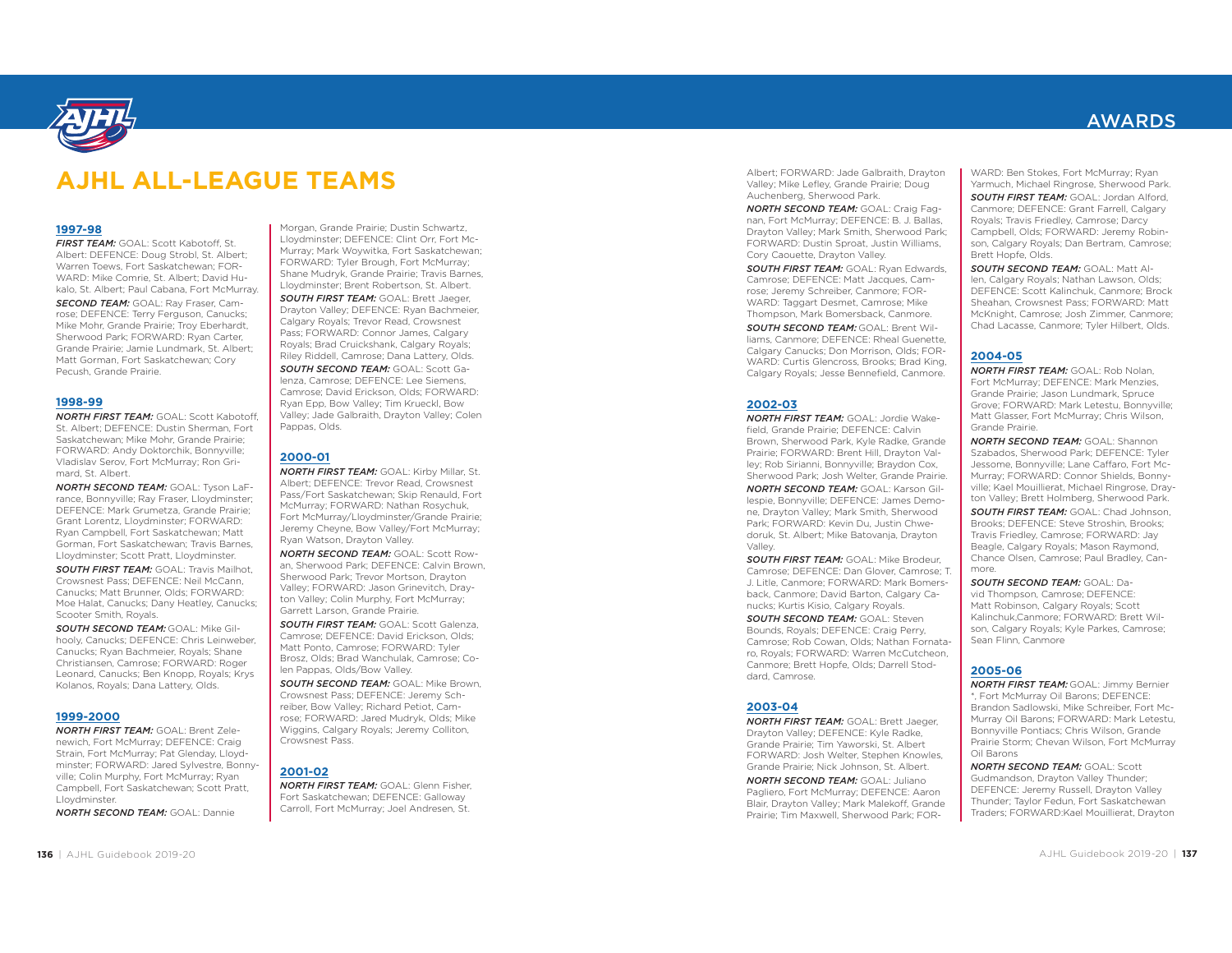

Albert; FORWARD: Jade Galbraith, Drayton Valley; Mike Lefley, Grande Prairie; Doug Auchenberg, Sherwood Park.

*NORTH SECOND TEAM:* GOAL: Craig Fagnan, Fort McMurray; DEFENCE: B. J. Ballas, Drayton Valley; Mark Smith, Sherwood Park; FORWARD: Dustin Sproat, Justin Williams, Cory Caouette, Drayton Valley.

*SOUTH FIRST TEAM:* GOAL: Ryan Edwards, Camrose; DEFENCE: Matt Jacques, Camrose; Jeremy Schreiber, Canmore; FOR-WARD: Taggart Desmet, Camrose; Mike Thompson, Mark Bomersback, Canmore.

*SOUTH SECOND TEAM:* GOAL: Brent Williams, Canmore; DEFENCE: Rheal Guenette, Calgary Canucks; Don Morrison, Olds; FOR-WARD: Curtis Glencross, Brooks; Brad King, Calgary Royals; Jesse Bennefield, Canmore.

#### **2002-03**

*NORTH FIRST TEAM:* GOAL: Jordie Wakefield, Grande Prairie; DEFENCE: Calvin Brown, Sherwood Park, Kyle Radke, Grande Prairie; FORWARD: Brent Hill, Drayton Valley; Rob Sirianni, Bonnyville; Braydon Cox, Sherwood Park; Josh Welter, Grande Prairie. *NORTH SECOND TEAM:* GOAL: Karson Gillespie, Bonnyville; DEFENCE: James Demone, Drayton Valley; Mark Smith, Sherwood Park; FORWARD: Kevin Du, Justin Chwedoruk, St. Albert; Mike Batovanja, Drayton Valley. *NORTH SECOND TEAM:* GOAL: Scott Gudmandson, Drayton Valley Thunder; DEFENCE: Jeremy Russell, Drayton Valley Thunder; Taylor Fedun, Fort Saskatchewan Traders; FORWARD:Kael Mouillierat, Drayton **1997-98** *FIRST TEAM:* GOAL: Scott Kabotoff, St. Albert: DEFENCE: Doug Strobl, St. Albert; Warren Toews, Fort Saskatchewan; FOR- WARD: Mike Comrie, St. Albert; David Hu- kalo, St. Albert; Paul Cabana, Fort McMurray. *SECOND TEAM:* GOAL: Ray Fraser, Cam- rose; DEFENCE: Terry Ferguson, Canucks; Mike Mohr, Grande Prairie; Troy Eberhardt, Sherwood Park; FORWARD: Ryan Carter, Grande Prairie; Jamie Lundmark, St. Albert; Matt Gorman, Fort Saskatchewan; Cory Pecush, Grande Prairie. **1998-99** *NORTH FIRST TEAM:* GOAL: Scott Kabotoff, St. Albert; DEFENCE: Dustin Sherman, Fort Saskatchewan; Mike Mohr, Grande Prairie; FORWARD: Andy Doktorchik, Bonnyville; Vladislav Serov, Fort McMurray; Ron Gri- mard, St. Albert. *NORTH SECOND TEAM:* GOAL: Tyson LaF- rance, Bonnyville; Ray Fraser, Lloydminster; DEFENCE: Mark Grumetza, Grande Prairie; Grant Lorentz, Lloydminster; FORWARD: Ryan Campbell, Fort Saskatchewan; Matt Gorman, Fort Saskatchewan; Travis Barnes, Lloydminster; Scott Pratt, Lloydminster. *SOUTH FIRST TEAM:* GOAL: Travis Mailhot, Crowsnest Pass; DEFENCE: Neil McCann, Canucks; Matt Brunner, Olds; FORWARD: Moe Halat, Canucks; Dany Heatley, Canucks; Scooter Smith, Royals. *SOUTH SECOND TEAM:* GOAL: Mike Gil- hooly, Canucks; DEFENCE: Chris Leinweber, Canucks; Ryan Bachmeier, Royals; Shane Christiansen, Camrose; FORWARD: Roger Leonard, Canucks; Ben Knopp, Royals; Krys Kolanos, Royals; Dana Lattery, Olds. **1999-2000** *NORTH FIRST TEAM:* GOAL: Brent Zele- newich, Fort McMurray; DEFENCE: Craig Strain, Fort McMurray; Pat Glenday, Lloyd- minster; FORWARD: Jared Sylvestre, Bonny- ville; Colin Murphy, Fort McMurray; Ryan Campbell, Fort Saskatchewan; Scott Pratt, Lloydminster. *NORTH SECOND TEAM:* GOAL: Dannie Morgan, Grande Prairie; Dustin Schwartz, Lloydminster; DEFENCE: Clint Orr, Fort Mc- Murray; Mark Woywitka, Fort Saskatchewan; FORWARD: Tyler Brough, Fort McMurray; Shane Mudryk, Grande Prairie; Travis Barnes, Lloydminster; Brent Robertson, St. Albert. *SOUTH FIRST TEAM:* GOAL: Brett Jaeger, Drayton Valley; DEFENCE: Ryan Bachmeier, Calgary Royals; Trevor Read, Crowsnest Pass; FORWARD: Connor James, Calgary Royals; Brad Cruickshank, Calgary Royals; Riley Riddell, Camrose; Dana Lattery, Olds. *SOUTH SECOND TEAM:* GOAL: Scott Ga- lenza, Camrose; DEFENCE: Lee Siemens, Camrose; David Erickson, Olds; FORWARD: Ryan Epp, Bow Valley; Tim Krueckl, Bow Valley; Jade Galbraith, Drayton Valley; Colen Pappas, Olds. **2000-01** *NORTH FIRST TEAM:* GOAL: Kirby Millar, St. Albert; DEFENCE: Trevor Read, Crowsnest Pass/Fort Saskatchewan; Skip Renauld, Fort McMurray; FORWARD: Nathan Rosychuk, Fort McMurray/Lloydminster/Grande Prairie; Jeremy Cheyne, Bow Valley/Fort McMurray; Ryan Watson, Drayton Valley. *NORTH SECOND TEAM:* GOAL: Scott Row- an, Sherwood Park; DEFENCE: Calvin Brown, Sherwood Park; Trevor Mortson, Drayton Valley; FORWARD: Jason Grinevitch, Dray- ton Valley; Colin Murphy, Fort McMurray; Garrett Larson, Grande Prairie. *SOUTH FIRST TEAM:* GOAL: Scott Galenza, Camrose; DEFENCE: David Erickson, Olds; Matt Ponto, Camrose; FORWARD: Tyler Brosz, Olds; Brad Wanchulak, Camrose; Co- len Pappas, Olds/Bow Valley. *SOUTH SECOND TEAM:* GOAL: Mike Brown, Crowsnest Pass; DEFENCE: Jeremy Sch- reiber, Bow Valley; Richard Petiot, Cam- rose; FORWARD: Jared Mudryk, Olds; Mike Wiggins, Calgary Royals; Jeremy Colliton, Crowsnest Pass. **2001-02** *NORTH FIRST TEAM:* GOAL: Glenn Fisher, Fort Saskatchewan; DEFENCE: Galloway Carroll, Fort McMurray; Joel Andresen, St. **AJHL ALL-LEAGUE TEAMS**

*SOUTH FIRST TEAM:* GOAL: Mike Brodeur, Camrose; DEFENCE: Dan Glover, Camrose; T. J. Litle, Canmore; FORWARD: Mark Bomersback, Canmore; David Barton, Calgary Canucks; Kurtis Kisio, Calgary Royals.

*SOUTH SECOND TEAM:* GOAL: Steven Bounds, Royals; DEFENCE: Craig Perry, Camrose; Rob Cowan, Olds; Nathan Fornataro, Royals; FORWARD: Warren McCutcheon, Canmore; Brett Hopfe, Olds; Darrell Stoddard, Camrose.

#### **2003-04**

*NORTH FIRST TEAM:* GOAL: Brett Jaeger, Drayton Valley; DEFENCE: Kyle Radke, Grande Prairie; Tim Yaworski, St. Albert FORWARD: Josh Welter, Stephen Knowles, Grande Prairie; Nick Johnson, St. Albert.

*NORTH SECOND TEAM:* GOAL: Juliano Pagliero, Fort McMurray; DEFENCE: Aaron Blair, Drayton Valley; Mark Malekoff, Grande Prairie; Tim Maxwell, Sherwood Park; FOR-

WARD: Ben Stokes, Fort McMurray; Ryan Yarmuch, Michael Ringrose, Sherwood Park. *SOUTH FIRST TEAM:* GOAL: Jordan Alford, Canmore; DEFENCE: Grant Farrell, Calgary Royals; Travis Friedley, Camrose; Darcy Campbell, Olds; FORWARD: Jeremy Robin son, Calgary Royals; Dan Bertram, Camrose;<br>Brett Hopfe, Olds.

*SOUTH SECOND TEAM:* GOAL: Matt Allen, Calgary Royals: Nathan Lawson, Olds: len, Calgary Royals; Nathan Calgary Royals; Depredicion, Canmore; Sheahan, Crowsnest Pass; FORWARD: Matt McKnight, Camrose; Josh Zimmer, Canmore; Tyler Hilbert, Olds.

## **2004-05**

*NORTH FIRST TEAM: GOAL: Rob Nolan,* Fort McMurray; DEFENCE: Mark Menzies, Grande Prairie; Jason Lundmark, Spruce Grove; FORWARD: Mark Letestu, Bonnyville; Matt Glasser, Fort McMurray; Chris Wilson, Grande Prairie.

*NORTH SECOND TEAM:* GOAL: Shannon Szabados, Sherwood Park; DEFENCE: Tyler Jessome, Bonnyville; Lane Caffaro, Fort Mc- Murray; FORWARD: Connor Shields, Bonny ville; Kael Mouillierat, Michael Ringrose, Dray ton Valley; Brett Holmberg, Sherwood Park.

**SOUTH FIRST TEAM:** GOAL: Chad Johnson, Brooks; DEFENCE: Steve Stroshin, Brooks; Travis Friedley, Camrose; FORWARD: Jay Beagle, Calgary Royals; Mason Raymond, Chance Olsen, Camrose; Paul Bradley, Canmore.

*SOUTH SECOND TEAM:* GOAL: David Thompson, Camrose: DEFENCE: Matt Robinson, Calgary Royals; Scott<br>Kalinchuk,Canmore; FORWARD: Brett Wilson, Calgary Royals; Kyle Parkes, Camrose; Sean Flinn, Canmore

### **2005-06**

*NORTH FIRST TEAM:*\*, Fort McMurray Oil Barons; DEFENCE:<br>Brandon Sadlowski, Mike Schreiber, Fort Mc-<br>Murray Oil Barons: FORWARD: Mark Letestu. Bonnyville Pontiacs; Chris Wilson, Grande<br>Prairie Storm; Chevan Wilson, Fort McMurray<br>Oil Barons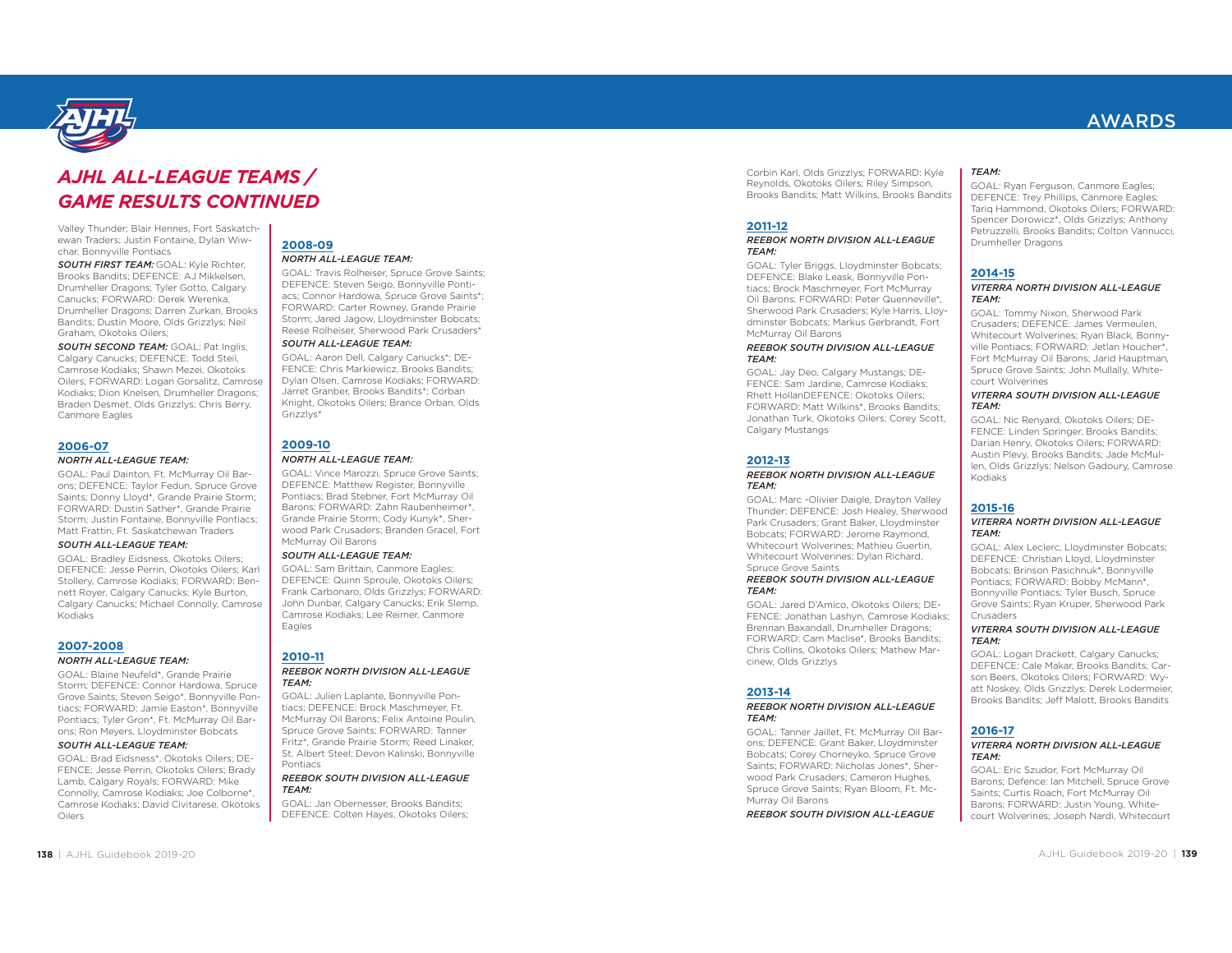

## *AJHL ALL-LEAGUE TEAMS CONTINUED*

**2008-09**

Grizzlys\*

**2009-10**

Eagles

*NORTH ALL-LEAGUE TEAM:* 

*SOUTH ALL-LEAGUE TEAM:* 

*NORTH ALL-LEAGUE TEAM:* 

McMurray Oil Barons *SOUTH ALL-LEAGUE TEAM:* GOAL: Sam Brittain, Canmore Eagles; DEFENCE: Quinn Sproule, Okotoks Oilers; Frank Carbonaro, Olds Grizzlys; FORWARD: John Dunbar, Calgary Canucks; Erik Slemp, Camrose Kodiaks; Lee Reimer, Canmore

GOAL: Travis Rolheiser, Spruce Grove Saints; DEFENCE: Steven Seigo, Bonnyville Pontiacs; Connor Hardowa, Spruce Grove Saints\*; FORWARD: Carter Rowney, Grande Prairie Storm; Jared Jagow, Lloydminster Bobcats; Reese Rolheiser, Sherwood Park Crusaders\*

GOAL: Aaron Dell, Calgary Canucks\*; DE-FENCE: Chris Markiewicz, Brooks Bandits; Dylan Olsen, Camrose Kodiaks; FORWARD: Jarret Granber, Brooks Bandits\*; Corban Knight, Okotoks Oilers; Brance Orban, Olds

GOAL: Vince Marozzi, Spruce Grove Saints; DEFENCE: Matthew Register, Bonnyville Pontiacs; Brad Stebner, Fort McMurray Oil Barons; FORWARD: Zahn Raubenheimer\*, Grande Prairie Storm; Cody Kunyk\*, Sherwood Park Crusaders; Branden Gracel, Fort

Valley Thunder; Blair Hennes, Fort Saskatchewan Traders; Justin Fontaine, Dylan Wiwchar, Bonnyville Pontiacs

*SOUTH FIRST TEAM:* GOAL: Kyle Richter, Brooks Bandits; DEFENCE: AJ Mikkelsen, Drumheller Dragons; Tyler Gotto, Calgary Canucks; FORWARD: Derek Werenka, Drumheller Dragons; Darren Zurkan, Brooks Bandits; Dustin Moore, Olds Grizzlys; Neil Graham, Okotoks Oilers;

*SOUTH SECOND TEAM:* GOAL: Pat Inglis, Calgary Canucks; DEFENCE: Todd Steil, Camrose Kodiaks; Shawn Mezei, Okotoks Oilers; FORWARD: Logan Gorsalitz, Camrose Kodiaks; Dion Knelsen, Drumheller Dragons; Braden Desmet, Olds Grizzlys; Chris Berry, Canmore Eagles

#### **2006-07**

#### *NORTH ALL-LEAGUE TEAM:*

GOAL: Paul Dainton, Ft. McMurray Oil Barons; DEFENCE: Taylor Fedun, Spruce Grove Saints; Donny Lloyd\*, Grande Prairie Storm; FORWARD: Dustin Sather\*, Grande Prairie Storm; Justin Fontaine, Bonnyville Pontiacs; Matt Frattin, Ft. Saskatchewan Traders

#### *SOUTH ALL-LEAGUE TEAM:*

GOAL: Bradley Eidsness, Okotoks Oilers; DEFENCE: Jesse Perrin, Okotoks Oilers; Karl Stollery, Camrose Kodiaks; FORWARD: Bennett Royer, Calgary Canucks; Kyle Burton, Calgary Canucks; Michael Connolly, Camrose Kodiaks

#### **2007-2008***NORTH ALL-LEAGUE TEAM:*

GOAL: Blaine Neufeld\*, Grande Prairie Storm; DEFENCE: Connor Hardowa, Spruce Grove Saints; Steven Seigo\*, Bonnyville Pontiacs; FORWARD: Jamie Easton\*, Bonnyville Pontiacs; Tyler Gron\*, Ft. McMurray Oil Barons; Ron Meyers, Lloydminster Bobcats

#### *SOUTH ALL-LEAGUE TEAM:*

GOAL: Brad Eidsness\*, Okotoks Oilers; DE-FENCE: Jesse Perrin, Okotoks Oilers; Brady Lamb, Calgary Royals; FORWARD: Mike Connolly, Camrose Kodiaks; Joe Colborne\*, Camrose Kodiaks; David Civitarese, Okotoks Oilers

**2010-11**

#### *REEBOK NORTH DIVISION ALL-LEAGUE TEAM:*

GOAL: Julien Laplante, Bonnyville Pontiacs; DEFENCE: Brock Maschmeyer, Ft. McMurray Oil Barons; Felix Antoine Poulin, Spruce Grove Saints; FORWARD: Tanner Fritz\*, Grande Prairie Storm; Reed Linaker, St. Albert Steel; Devon Kalinski, Bonnyville Pontiacs

#### *REEBOK SOUTH DIVISION ALL-LEAGUE TEAM:*

GOAL: Jan Obernesser, Brooks Bandits; DEFENCE: Colten Hayes, Okotoks Oilers; Corbin Karl, Olds Grizzlys; FORWARD: Kyle Reynolds, Okotoks Oilers; Riley Simpson, Brooks Bandits; Matt Wilkins, Brooks Bandits

#### **2011-12**

#### *REEBOK NORTH DIVISION ALL-LEAGUE TEAM:*

GOAL: Tyler Briggs, Lloydminster Bobcats; DEFENCE: Blake Leask, Bonnyville Pontiacs; Brock Maschmeyer, Fort McMurray Oil Barons; FORWARD: Peter Quenneville\*, Sherwood Park Crusaders; Kyle Harris, Lloydminster Bobcats; Markus Gerbrandt, Fort McMurray Oil Barons

#### *REEBOK SOUTH DIVISION ALL-LEAGUE TEAM:*

GOAL: Jay Deo, Calgary Mustangs; DE-FENCE: Sam Jardine, Camrose Kodiaks; Rhett HollanDEFENCE: Okotoks Oilers; FORWARD: Matt Wilkins\*, Brooks Bandits; Jonathan Turk, Okotoks Oilers; Corey Scott, Calgary Mustangs

### **2012-13**

#### *REEBOK NORTH DIVISION ALL-LEAGUE TEAM:*

GOAL: Marc -Olivier Daigle, Drayton Valley Thunder; DEFENCE: Josh Healey, Sherwood Park Crusaders; Grant Baker, Lloydminster Bobcats; FORWARD: Jerome Raymond, Whitecourt Wolverines; Mathieu Guertin, Whitecourt Wolverines; Dylan Richard, Spruce Grove Saints *REEBOK SOUTH DIVISION ALL-LEAGUE* 

## *TEAM:*

GOAL: Jared D'Amico, Okotoks Oilers; DE-FENCE: Jonathan Lashyn, Camrose Kodiaks; Brennan Baxandall, Drumheller Dragons; FORWARD: Cam Maclise\*, Brooks Bandits; Chris Collins, Okotoks Oilers; Mathew Marcinew, Olds Grizzlys

### **2013-14**

#### *REEBOK NORTH DIVISION ALL-LEAGUE TEAM:*

GOAL: Tanner Jaillet, Ft. McMurray Oil Barons; DEFENCE: Grant Baker, Lloydminster Bobcats; Corey Chorneyko, Spruce Grove Saints; FORWARD: Nicholas Jones\*, Sherwood Park Crusaders; Cameron Hughes, Spruce Grove Saints; Ryan Bloom, Ft. Mc-Murray Oil Barons

*REEBOK SOUTH DIVISION ALL-LEAGUE* 

#### *TEAM:*

GOAL: Ryan Ferguson, Canmore Eagles; DEFENCE: Trey Phillips, Canmore Eagles; Tariq Hammond, Okotoks Oilers; FORWARD: Spencer Dorowicz\*, Olds Grizzlys; Anthony Petruzzelli, Brooks Bandits; Colton Vannucci, Drumheller Dragons

#### **2014-15**

#### *VITERRA NORTH DIVISION ALL-LEAGUE TEAM:*

GOAL: Tommy Nixon, Sherwood Park Crusaders; DEFENCE: James Vermeulen, Whitecourt Wolverines; Ryan Black, Bonnyville Pontiacs; FORWARD: Jetlan Houcher\*, Fort McMurray Oil Barons; Jarid Hauptman, Spruce Grove Saints; John Mullally, Whitecourt Wolverines

#### *VITERRA SOUTH DIVISION ALL-LEAGUE TEAM:*

GOAL: Nic Renyard, Okotoks Oilers; DE-FENCE: Linden Springer, Brooks Bandits; Darian Henry, Okotoks Oilers; FORWARD: Austin Plevy, Brooks Bandits; Jade McMullen, Olds Grizzlys; Nelson Gadoury, Camrose Kodiaks

### **2015-16**

#### *VITERRA NORTH DIVISION ALL-LEAGUE TEAM:*

GOAL: Alex Leclerc, Lloydminster Bobcats; DEFENCE: Christian Lloyd, Lloydminster Bobcats; Brinson Pasichnuk\*, Bonnyville Pontiacs; FORWARD: Bobby McMann\*, Bonnyville Pontiacs; Tyler Busch, Spruce Grove Saints; Ryan Kruper, Sherwood Park Crusaders

#### *VITERRA SOUTH DIVISION ALL-LEAGUE TEAM:*

GOAL: Logan Drackett, Calgary Canucks; DEFENCE: Cale Makar, Brooks Bandits; Carson Beers, Okotoks Oilers; FORWARD: Wyatt Noskey, Olds Grizzlys; Derek Lodermeier, Brooks Bandits; Jeff Malott, Brooks Bandits

### **2016-17**

#### *VITERRA NORTH DIVISION ALL-LEAGUE TEAM:*

GOAL: Eric Szudor, Fort McMurray Oil Barons; Defence: Ian Mitchell, Spruce Grove Saints; Curtis Roach, Fort McMurray Oil Barons; FORWARD: Justin Young, Whitecourt Wolverines; Joseph Nardi, Whitecourt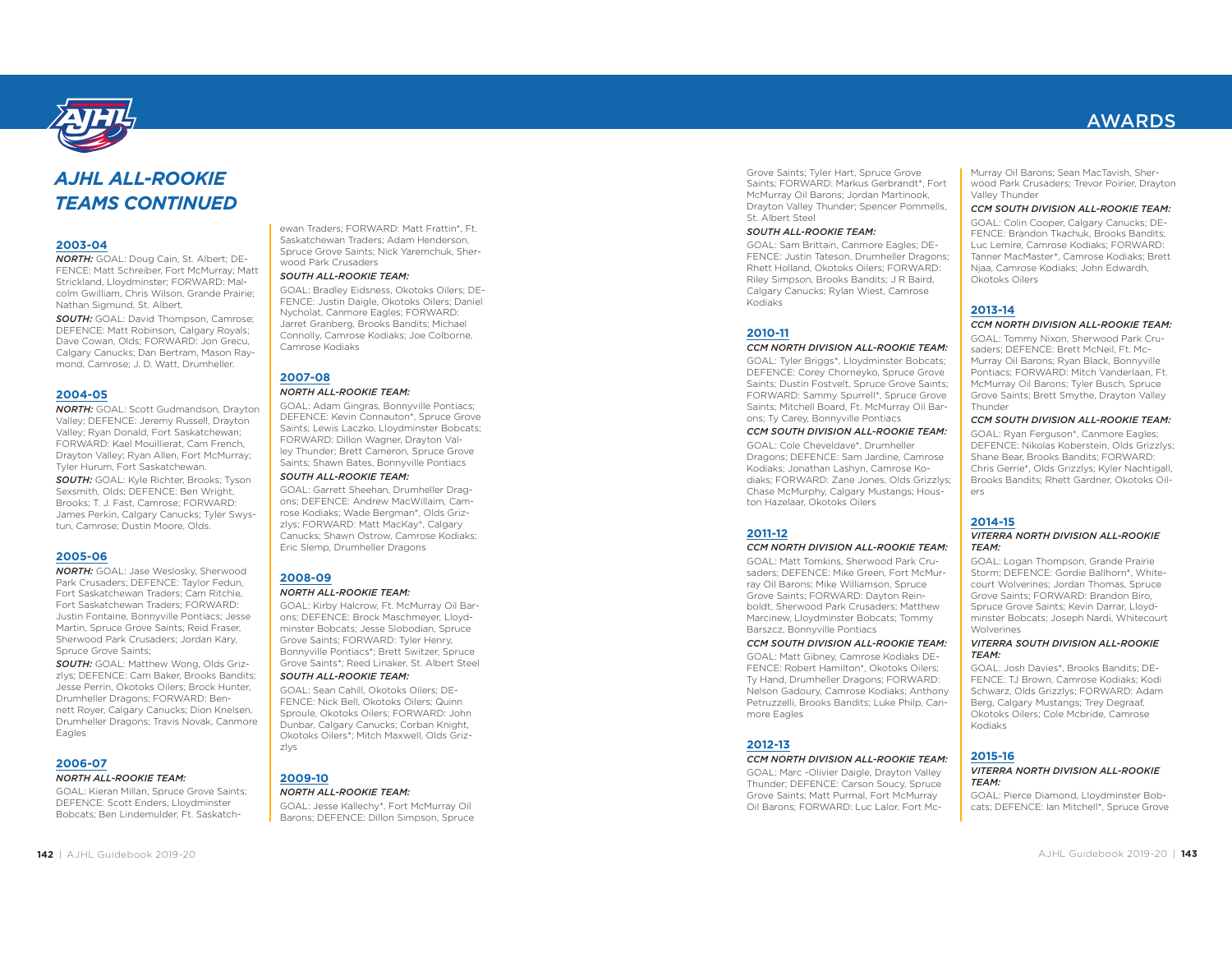

cats; DEFENCE: Ian Mitchell\*, Spruce Grove *AJHL ALL-ROOKIE TEAMS CONTINUED* **2003-04** *NORTH:* GOAL: Doug Cain, St. Albert; DE- FENCE: Matt Schreiber, Fort McMurray; Matt Strickland, Lloydminster; FORWARD: Mal- colm Gwilliam, Chris Wilson, Grande Prairie; Nathan Sigmund, St. Albert. *SOUTH:* GOAL: David Thompson, Camrose; DEFENCE: Matt Robinson, Calgary Royals; Dave Cowan, Olds; FORWARD: Jon Grecu, Calgary Canucks; Dan Bertram, Mason Ray- mond, Camrose; J. D. Watt, Drumheller. **2004-05** *NORTH:* GOAL: Scott Gudmandson, Drayton Valley; DEFENCE: Jeremy Russell, Drayton Valley; Ryan Donald, Fort Saskatchewan; FORWARD: Kael Mouillierat, Cam French, Drayton Valley; Ryan Allen, Fort McMurray; Tyler Hurum, Fort Saskatchewan. *SOUTH:* GOAL: Kyle Richter, Brooks; Tyson Sexsmith, Olds; DEFENCE: Ben Wright, Brooks; T. J. Fast, Camrose; FORWARD: James Perkin, Calgary Canucks; Tyler Swys- tun, Camrose; Dustin Moore, Olds. **2005-06** *NORTH:* GOAL: Jase Weslosky, Sherwood Park Crusaders; DEFENCE: Taylor Fedun, Fort Saskatchewan Traders; Cam Ritchie, Fort Saskatchewan Traders; FORWARD: Justin Fontaine, Bonnyville Pontiacs; Jesse Martin, Spruce Grove Saints; Reid Fraser, Sherwood Park Crusaders; Jordan Kary, Spruce Grove Saints; *SOUTH:* GOAL: Matthew Wong, Olds Griz- zlys; DEFENCE: Cam Baker, Brooks Bandits; Jesse Perrin, Okotoks Oilers; Brock Hunter, Drumheller Dragons; FORWARD: Ben- nett Royer, Calgary Canucks; Dion Knelsen, Drumheller Dragons; Travis Novak, Canmore Eagles **2006-07** *NORTH ALL-ROOKIE TEAM:* GOAL: Kieran Millan, Spruce Grove Saints; DEFENCE: Scott Enders, Lloydminster Bobcats; Ben Lindemulder, Ft. Saskatch- ewan Traders; FORWARD: Matt Frattin\*, Ft. Saskatchewan Traders; Adam Henderson, Spruce Grove Saints; Nick Yaremchuk, Sher- wood Park Crusaders *SOUTH ALL-ROOKIE TEAM:* GOAL: Bradley Eidsness, Okotoks Oilers; DE- FENCE: Justin Daigle, Okotoks Oilers; Daniel Nycholat, Canmore Eagles; FORWARD: Jarret Granberg, Brooks Bandits; Michael Connolly, Camrose Kodiaks; Joe Colborne, Camrose Kodiaks **2007-08** *NORTH ALL-ROOKIE TEAM:* GOAL: Adam Gingras, Bonnyville Pontiacs; DEFENCE: Kevin Connauton\*, Spruce Grove Saints; Lewis Laczko, Lloydminster Bobcats; FORWARD: Dillon Wagner, Drayton Val- ley Thunder; Brett Cameron, Spruce Grove Saints; Shawn Bates, Bonnyville Pontiacs *SOUTH ALL-ROOKIE TEAM:* GOAL: Garrett Sheehan, Drumheller Drag- ons; DEFENCE: Andrew MacWillaim, Cam- rose Kodiaks; Wade Bergman\*, Olds Griz- zlys; FORWARD: Matt MacKay\*, Calgary Canucks; Shawn Ostrow, Camrose Kodiaks; Eric Slemp, Drumheller Dragons **2008-09** *NORTH ALL-ROOKIE TEAM:* GOAL: Kirby Halcrow, Ft. McMurray Oil Bar- ons; DEFENCE: Brock Maschmeyer, Lloyd- minster Bobcats; Jesse Slobodian, Spruce Grove Saints; FORWARD: Tyler Henry, Bonnyville Pontiacs\*; Brett Switzer, Spruce Grove Saints\*; Reed Linaker, St. Albert Steel *SOUTH ALL-ROOKIE TEAM:* GOAL: Sean Cahill, Okotoks Oilers; DE- FENCE: Nick Bell, Okotoks Oilers; Quinn Sproule, Okotoks Oilers; FORWARD: John Dunbar, Calgary Canucks; Corban Knight, Okotoks Oilers\*; Mitch Maxwell, Olds Griz- zlys **2009-10** *NORTH ALL-ROOKIE TEAM:* GOAL: Jesse Kallechy\*, Fort McMurray Oil Barons; DEFENCE: Dillon Simpson, Spruce

Grove Saints; Tyler Hart, Spruce Grove Saints; FORWARD: Markus Gerbrandt\*, Fort McMurray Oil Barons; Jordan Martinook, Drayton Valley Thunder; Spencer Pommells, St. Albert Steel

#### *SOUTH ALL-ROOKIE TEAM:*

GOAL: Sam Brittain, Canmore Eagles; DE-FENCE: Justin Tateson, Drumheller Dragons; Rhett Holland, Okotoks Oilers; FORWARD: Riley Simpson, Brooks Bandits; J R Baird, Calgary Canucks; Rylan Wiest, Camrose Kodiaks

#### **2010-11**

#### *CCM NORTH DIVISION ALL-ROOKIE TEAM:*

GOAL: Tyler Briggs\*, Lloydminster Bobcats; DEFENCE: Corey Chorneyko, Spruce Grove Saints; Dustin Fostvelt, Spruce Grove Saints; FORWARD: Sammy Spurrell\*, Spruce Grove Saints; Mitchell Board, Ft. McMurray Oil Barons; Ty Carey, Bonnyville Pontiacs

#### *CCM SOUTH DIVISION ALL-ROOKIE TEAM:*

GOAL: Cole Cheveldave\*, Drumheller Dragons; DEFENCE: Sam Jardine, Camrose Kodiaks; Jonathan Lashyn, Camrose Kodiaks; FORWARD: Zane Jones, Olds Grizzlys; Chase McMurphy, Calgary Mustangs; Houston Hazelaar, Okotoks Oilers

#### **2011-12**

### *CCM NORTH DIVISION ALL-ROOKIE TEAM:*

GOAL: Matt Tomkins, Sherwood Park Crusaders; DEFENCE: Mike Green, Fort McMurray Oil Barons; Mike Williamson, Spruce Grove Saints; FORWARD: Dayton Reinboldt, Sherwood Park Crusaders; Matthew Marcinew, Lloydminster Bobcats; Tommy Barszcz, Bonnyville Pontiacs

#### *CCM SOUTH DIVISION ALL-ROOKIE TEAM:*

GOAL: Matt Gibney, Camrose Kodiaks DE-FENCE: Robert Hamilton\*, Okotoks Oilers; Ty Hand, Drumheller Dragons; FORWARD: Nelson Gadoury, Camrose Kodiaks; Anthony Petruzzelli, Brooks Bandits; Luke Philp, Canmore Eagles

#### **2012-13**

#### *CCM NORTH DIVISION ALL-ROOKIE TEAM:*

GOAL: Marc -Olivier Daigle, Drayton Valley Thunder; DEFENCE: Carson Soucy, Spruce Grove Saints; Matt Purmal, Fort McMurray Oil Barons; FORWARD: Luc Lalor, Fort McMurray Oil Barons; Sean MacTavish, Sher wood Park Crusaders; Trevor Poirier, Drayton Valley Thunder

#### *CCM SOUTH DIVISION ALL-ROOKIE TEAM:*

GOAL: Colin Cooper, Calgary Canucks; DE- FENCE: Brandon Tkachuk, Brooks Bandits; Luc Lemire, Camrose Kodiaks; FORWARD: Tanner MacMaster\*, Camrose Kodiaks; Brett Njaa, Camrose Kodiaks; John Edwardh, Okotoks Oilers

### **2013-14**

#### *CCM NORTH DIVISION ALL-ROOKIE TEAM:*

GOAL: Tommy Nixon, Sherwood Park Cru saders; DEFENCE: Brett McNeil, Ft. Mc- Murray Oil Barons; Ryan Black, Bonnyville Pontiacs; FORWARD: Mitch Vanderlaan, Ft. McMurray Oil Barons; Tyler Busch, Spruce Grove Saints; Brett Smythe, Drayton Valley Thunder

#### *CCM SOUTH DIVISION ALL-ROOKIE TEAM:*

GOAL: Ryan Ferguson\*, Canmore Eagles;<br>
DEFENCE: Nikolas Koberstein, Olds Grizzlys;<br>
Shane Bear, Brooks Bandits; FORWARD:<br>
Chris Gerrie\*, Olds Grizzlys; Kyler Nachtigall,<br>
Brooks Bandits; Rhett Gardner, Okotoks Oilers

## **2014-15**

## *VITERRA NORTH DIVISION ALL-ROOKIE TEAM:*

GOAL: Logan Thompson, Grande Prairie Storm; DEFENCE: Gordie Ballhorn\*, White court Wolverines; Jordan Thomas, Spruce<br>Grove Saints; FORWARD: Brandon Biro,<br>Spruce Grove Saints; Kevin Darrar, Lloydminster Bobcats; Joseph Nardi, Whitecourt Wolverines

## *VITERRA SOUTH DIVISION ALL-ROOKIE TEAM:*

GOAL: Josh Davies\*, Brooks Bandits; DE- FENCE: TJ Brown, Camrose Kodiaks; Kodi<br>Schwarz, Olds Grizzlys; FORWARD: Adam<br>Berg, Calgary Mustangs; Trey Degraaf,<br>Okotoks Oilers; Cole Mcbride, Camrose<br>Kodiaks

### **2015-16**

## *VITERRA NORTH DIVISION ALL-ROOKIE TEAM:*

GOAL: Pierce Diamond, Lloydminster Bob-<br>cats; DEFENCE: Ian Mitchell\*, Spruce Grove